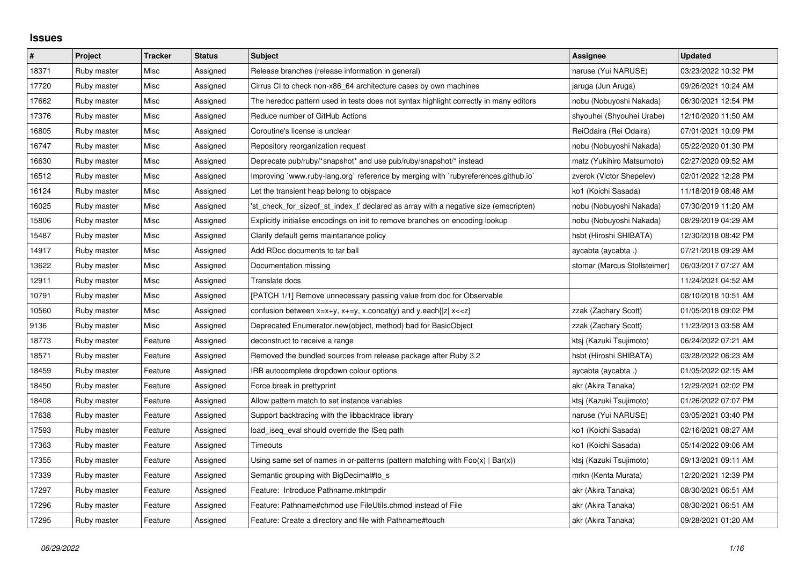## **Issues**

| $\sharp$ | Project     | <b>Tracker</b> | <b>Status</b> | <b>Subject</b>                                                                                                                          | Assignee                     | <b>Updated</b>      |
|----------|-------------|----------------|---------------|-----------------------------------------------------------------------------------------------------------------------------------------|------------------------------|---------------------|
| 18371    | Ruby master | Misc           | Assigned      | Release branches (release information in general)                                                                                       | naruse (Yui NARUSE)          | 03/23/2022 10:32 PM |
| 17720    | Ruby master | Misc           | Assigned      | Cirrus CI to check non-x86_64 architecture cases by own machines                                                                        | jaruga (Jun Aruga)           | 09/26/2021 10:24 AM |
| 17662    | Ruby master | Misc           | Assigned      | The heredoc pattern used in tests does not syntax highlight correctly in many editors                                                   | nobu (Nobuyoshi Nakada)      | 06/30/2021 12:54 PM |
| 17376    | Ruby master | Misc           | Assigned      | Reduce number of GitHub Actions                                                                                                         | shyouhei (Shyouhei Urabe)    | 12/10/2020 11:50 AM |
| 16805    | Ruby master | Misc           | Assigned      | Coroutine's license is unclear                                                                                                          | ReiOdaira (Rei Odaira)       | 07/01/2021 10:09 PM |
| 16747    | Ruby master | Misc           | Assigned      | Repository reorganization request                                                                                                       | nobu (Nobuyoshi Nakada)      | 05/22/2020 01:30 PM |
| 16630    | Ruby master | Misc           | Assigned      | Deprecate pub/ruby/*snapshot* and use pub/ruby/snapshot/* instead                                                                       | matz (Yukihiro Matsumoto)    | 02/27/2020 09:52 AM |
| 16512    | Ruby master | Misc           | Assigned      | Improving `www.ruby-lang.org` reference by merging with `rubyreferences.github.io`                                                      | zverok (Victor Shepelev)     | 02/01/2022 12:28 PM |
| 16124    | Ruby master | Misc           | Assigned      | Let the transient heap belong to objspace                                                                                               | ko1 (Koichi Sasada)          | 11/18/2019 08:48 AM |
| 16025    | Ruby master | Misc           | Assigned      | 'st check for sizeof st index t' declared as array with a negative size (emscripten)                                                    | nobu (Nobuyoshi Nakada)      | 07/30/2019 11:20 AM |
| 15806    | Ruby master | Misc           | Assigned      | Explicitly initialise encodings on init to remove branches on encoding lookup                                                           | nobu (Nobuyoshi Nakada)      | 08/29/2019 04:29 AM |
| 15487    | Ruby master | Misc           | Assigned      | Clarify default gems maintanance policy                                                                                                 | hsbt (Hiroshi SHIBATA)       | 12/30/2018 08:42 PM |
| 14917    | Ruby master | Misc           | Assigned      | Add RDoc documents to tar ball                                                                                                          | aycabta (aycabta.)           | 07/21/2018 09:29 AM |
| 13622    | Ruby master | Misc           | Assigned      | Documentation missing                                                                                                                   | stomar (Marcus Stollsteimer) | 06/03/2017 07:27 AM |
| 12911    | Ruby master | Misc           | Assigned      | Translate docs                                                                                                                          |                              | 11/24/2021 04:52 AM |
| 10791    | Ruby master | Misc           | Assigned      | [PATCH 1/1] Remove unnecessary passing value from doc for Observable                                                                    |                              | 08/10/2018 10:51 AM |
| 10560    | Ruby master | Misc           | Assigned      | confusion between x=x+y, x+=y, x.concat(y) and y.each{ z  x< <z}< td=""><td>zzak (Zachary Scott)</td><td>01/05/2018 09:02 PM</td></z}<> | zzak (Zachary Scott)         | 01/05/2018 09:02 PM |
| 9136     | Ruby master | Misc           | Assigned      | Deprecated Enumerator.new(object, method) bad for BasicObject                                                                           | zzak (Zachary Scott)         | 11/23/2013 03:58 AM |
| 18773    | Ruby master | Feature        | Assigned      | deconstruct to receive a range                                                                                                          | ktsj (Kazuki Tsujimoto)      | 06/24/2022 07:21 AM |
| 18571    | Ruby master | Feature        | Assigned      | Removed the bundled sources from release package after Ruby 3.2                                                                         | hsbt (Hiroshi SHIBATA)       | 03/28/2022 06:23 AM |
| 18459    | Ruby master | Feature        | Assigned      | IRB autocomplete dropdown colour options                                                                                                | aycabta (aycabta.)           | 01/05/2022 02:15 AM |
| 18450    | Ruby master | Feature        | Assigned      | Force break in prettyprint                                                                                                              | akr (Akira Tanaka)           | 12/29/2021 02:02 PM |
| 18408    | Ruby master | Feature        | Assigned      | Allow pattern match to set instance variables                                                                                           | ktsj (Kazuki Tsujimoto)      | 01/26/2022 07:07 PM |
| 17638    | Ruby master | Feature        | Assigned      | Support backtracing with the libbacktrace library                                                                                       | naruse (Yui NARUSE)          | 03/05/2021 03:40 PM |
| 17593    | Ruby master | Feature        | Assigned      | load_iseq_eval should override the ISeq path                                                                                            | ko1 (Koichi Sasada)          | 02/16/2021 08:27 AM |
| 17363    | Ruby master | Feature        | Assigned      | Timeouts                                                                                                                                | ko1 (Koichi Sasada)          | 05/14/2022 09:06 AM |
| 17355    | Ruby master | Feature        | Assigned      | Using same set of names in or-patterns (pattern matching with $Foo(x)   Bar(x)$ )                                                       | ktsj (Kazuki Tsujimoto)      | 09/13/2021 09:11 AM |
| 17339    | Ruby master | Feature        | Assigned      | Semantic grouping with BigDecimal#to s                                                                                                  | mrkn (Kenta Murata)          | 12/20/2021 12:39 PM |
| 17297    | Ruby master | Feature        | Assigned      | Feature: Introduce Pathname.mktmpdir                                                                                                    | akr (Akira Tanaka)           | 08/30/2021 06:51 AM |
| 17296    | Ruby master | Feature        | Assigned      | Feature: Pathname#chmod use FileUtils.chmod instead of File                                                                             | akr (Akira Tanaka)           | 08/30/2021 06:51 AM |
| 17295    | Ruby master | Feature        | Assigned      | Feature: Create a directory and file with Pathname#touch                                                                                | akr (Akira Tanaka)           | 09/28/2021 01:20 AM |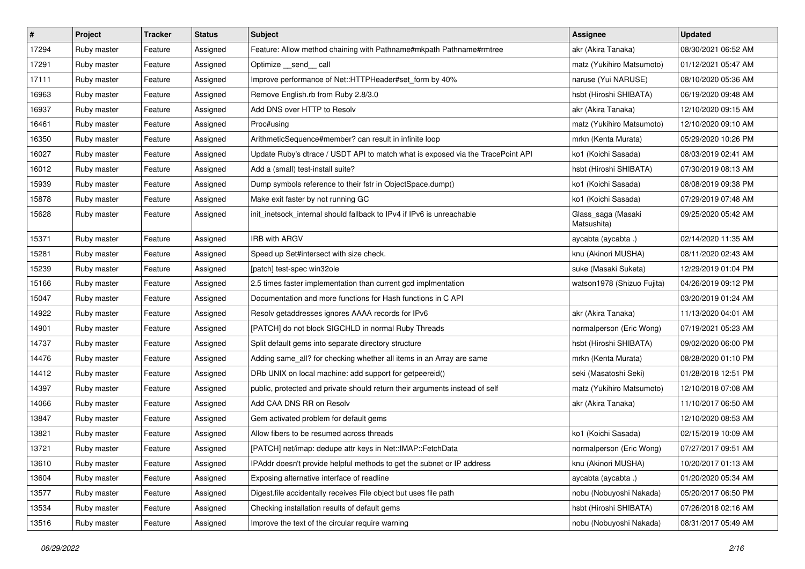| $\vert$ # | Project     | <b>Tracker</b> | <b>Status</b> | <b>Subject</b>                                                                  | <b>Assignee</b>                   | <b>Updated</b>      |
|-----------|-------------|----------------|---------------|---------------------------------------------------------------------------------|-----------------------------------|---------------------|
| 17294     | Ruby master | Feature        | Assigned      | Feature: Allow method chaining with Pathname#mkpath Pathname#rmtree             | akr (Akira Tanaka)                | 08/30/2021 06:52 AM |
| 17291     | Ruby master | Feature        | Assigned      | Optimize __send__ call                                                          | matz (Yukihiro Matsumoto)         | 01/12/2021 05:47 AM |
| 17111     | Ruby master | Feature        | Assigned      | Improve performance of Net::HTTPHeader#set_form by 40%                          | naruse (Yui NARUSE)               | 08/10/2020 05:36 AM |
| 16963     | Ruby master | Feature        | Assigned      | Remove English.rb from Ruby 2.8/3.0                                             | hsbt (Hiroshi SHIBATA)            | 06/19/2020 09:48 AM |
| 16937     | Ruby master | Feature        | Assigned      | Add DNS over HTTP to Resolv                                                     | akr (Akira Tanaka)                | 12/10/2020 09:15 AM |
| 16461     | Ruby master | Feature        | Assigned      | Proc#using                                                                      | matz (Yukihiro Matsumoto)         | 12/10/2020 09:10 AM |
| 16350     | Ruby master | Feature        | Assigned      | ArithmeticSequence#member? can result in infinite loop                          | mrkn (Kenta Murata)               | 05/29/2020 10:26 PM |
| 16027     | Ruby master | Feature        | Assigned      | Update Ruby's dtrace / USDT API to match what is exposed via the TracePoint API | ko1 (Koichi Sasada)               | 08/03/2019 02:41 AM |
| 16012     | Ruby master | Feature        | Assigned      | Add a (small) test-install suite?                                               | hsbt (Hiroshi SHIBATA)            | 07/30/2019 08:13 AM |
| 15939     | Ruby master | Feature        | Assigned      | Dump symbols reference to their fstr in ObjectSpace.dump()                      | ko1 (Koichi Sasada)               | 08/08/2019 09:38 PM |
| 15878     | Ruby master | Feature        | Assigned      | Make exit faster by not running GC                                              | ko1 (Koichi Sasada)               | 07/29/2019 07:48 AM |
| 15628     | Ruby master | Feature        | Assigned      | init_inetsock_internal should fallback to IPv4 if IPv6 is unreachable           | Glass_saga (Masaki<br>Matsushita) | 09/25/2020 05:42 AM |
| 15371     | Ruby master | Feature        | Assigned      | <b>IRB with ARGV</b>                                                            | aycabta (aycabta .)               | 02/14/2020 11:35 AM |
| 15281     | Ruby master | Feature        | Assigned      | Speed up Set#intersect with size check.                                         | knu (Akinori MUSHA)               | 08/11/2020 02:43 AM |
| 15239     | Ruby master | Feature        | Assigned      | [patch] test-spec win32ole                                                      | suke (Masaki Suketa)              | 12/29/2019 01:04 PM |
| 15166     | Ruby master | Feature        | Assigned      | 2.5 times faster implementation than current gcd implmentation                  | watson1978 (Shizuo Fujita)        | 04/26/2019 09:12 PM |
| 15047     | Ruby master | Feature        | Assigned      | Documentation and more functions for Hash functions in C API                    |                                   | 03/20/2019 01:24 AM |
| 14922     | Ruby master | Feature        | Assigned      | Resolv getaddresses ignores AAAA records for IPv6                               | akr (Akira Tanaka)                | 11/13/2020 04:01 AM |
| 14901     | Ruby master | Feature        | Assigned      | [PATCH] do not block SIGCHLD in normal Ruby Threads                             | normalperson (Eric Wong)          | 07/19/2021 05:23 AM |
| 14737     | Ruby master | Feature        | Assigned      | Split default gems into separate directory structure                            | hsbt (Hiroshi SHIBATA)            | 09/02/2020 06:00 PM |
| 14476     | Ruby master | Feature        | Assigned      | Adding same_all? for checking whether all items in an Array are same            | mrkn (Kenta Murata)               | 08/28/2020 01:10 PM |
| 14412     | Ruby master | Feature        | Assigned      | DRb UNIX on local machine: add support for getpeereid()                         | seki (Masatoshi Seki)             | 01/28/2018 12:51 PM |
| 14397     | Ruby master | Feature        | Assigned      | public, protected and private should return their arguments instead of self     | matz (Yukihiro Matsumoto)         | 12/10/2018 07:08 AM |
| 14066     | Ruby master | Feature        | Assigned      | Add CAA DNS RR on Resolv                                                        | akr (Akira Tanaka)                | 11/10/2017 06:50 AM |
| 13847     | Ruby master | Feature        | Assigned      | Gem activated problem for default gems                                          |                                   | 12/10/2020 08:53 AM |
| 13821     | Ruby master | Feature        | Assigned      | Allow fibers to be resumed across threads                                       | ko1 (Koichi Sasada)               | 02/15/2019 10:09 AM |
| 13721     | Ruby master | Feature        | Assigned      | [PATCH] net/imap: dedupe attr keys in Net::IMAP::FetchData                      | normalperson (Eric Wong)          | 07/27/2017 09:51 AM |
| 13610     | Ruby master | Feature        | Assigned      | IPAddr doesn't provide helpful methods to get the subnet or IP address          | knu (Akinori MUSHA)               | 10/20/2017 01:13 AM |
| 13604     | Ruby master | Feature        | Assigned      | Exposing alternative interface of readline                                      | aycabta (aycabta.)                | 01/20/2020 05:34 AM |
| 13577     | Ruby master | Feature        | Assigned      | Digest.file accidentally receives File object but uses file path                | nobu (Nobuyoshi Nakada)           | 05/20/2017 06:50 PM |
| 13534     | Ruby master | Feature        | Assigned      | Checking installation results of default gems                                   | hsbt (Hiroshi SHIBATA)            | 07/26/2018 02:16 AM |
| 13516     | Ruby master | Feature        | Assigned      | Improve the text of the circular require warning                                | nobu (Nobuyoshi Nakada)           | 08/31/2017 05:49 AM |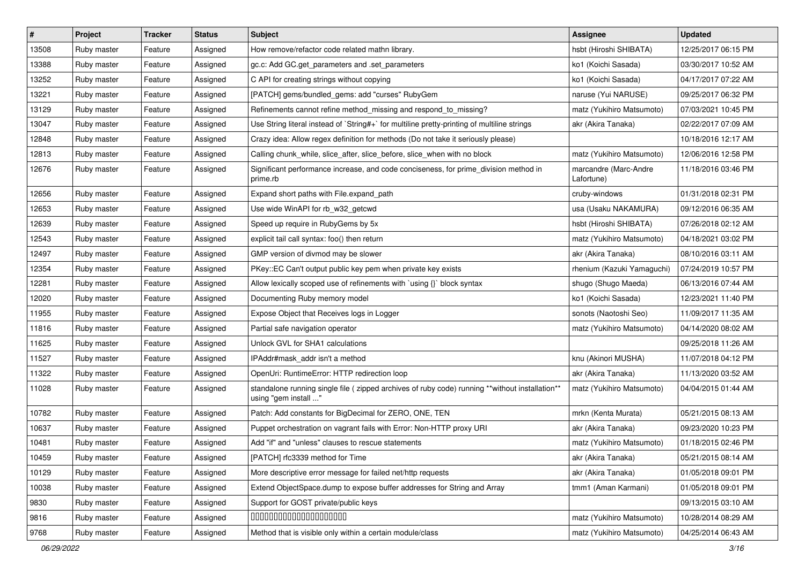| $\vert$ # | Project     | <b>Tracker</b> | <b>Status</b> | Subject                                                                                                                 | <b>Assignee</b>                     | <b>Updated</b>      |
|-----------|-------------|----------------|---------------|-------------------------------------------------------------------------------------------------------------------------|-------------------------------------|---------------------|
| 13508     | Ruby master | Feature        | Assigned      | How remove/refactor code related mathn library.                                                                         | hsbt (Hiroshi SHIBATA)              | 12/25/2017 06:15 PM |
| 13388     | Ruby master | Feature        | Assigned      | gc.c: Add GC.get_parameters and .set_parameters                                                                         | ko1 (Koichi Sasada)                 | 03/30/2017 10:52 AM |
| 13252     | Ruby master | Feature        | Assigned      | C API for creating strings without copying                                                                              | ko1 (Koichi Sasada)                 | 04/17/2017 07:22 AM |
| 13221     | Ruby master | Feature        | Assigned      | [PATCH] gems/bundled_gems: add "curses" RubyGem                                                                         | naruse (Yui NARUSE)                 | 09/25/2017 06:32 PM |
| 13129     | Ruby master | Feature        | Assigned      | Refinements cannot refine method_missing and respond_to_missing?                                                        | matz (Yukihiro Matsumoto)           | 07/03/2021 10:45 PM |
| 13047     | Ruby master | Feature        | Assigned      | Use String literal instead of `String#+` for multiline pretty-printing of multiline strings                             | akr (Akira Tanaka)                  | 02/22/2017 07:09 AM |
| 12848     | Ruby master | Feature        | Assigned      | Crazy idea: Allow regex definition for methods (Do not take it seriously please)                                        |                                     | 10/18/2016 12:17 AM |
| 12813     | Ruby master | Feature        | Assigned      | Calling chunk_while, slice_after, slice_before, slice_when with no block                                                | matz (Yukihiro Matsumoto)           | 12/06/2016 12:58 PM |
| 12676     | Ruby master | Feature        | Assigned      | Significant performance increase, and code conciseness, for prime division method in<br>prime.rb                        | marcandre (Marc-Andre<br>Lafortune) | 11/18/2016 03:46 PM |
| 12656     | Ruby master | Feature        | Assigned      | Expand short paths with File.expand path                                                                                | cruby-windows                       | 01/31/2018 02:31 PM |
| 12653     | Ruby master | Feature        | Assigned      | Use wide WinAPI for rb_w32_getcwd                                                                                       | usa (Usaku NAKAMURA)                | 09/12/2016 06:35 AM |
| 12639     | Ruby master | Feature        | Assigned      | Speed up require in RubyGems by 5x                                                                                      | hsbt (Hiroshi SHIBATA)              | 07/26/2018 02:12 AM |
| 12543     | Ruby master | Feature        | Assigned      | explicit tail call syntax: foo() then return                                                                            | matz (Yukihiro Matsumoto)           | 04/18/2021 03:02 PM |
| 12497     | Ruby master | Feature        | Assigned      | GMP version of divmod may be slower                                                                                     | akr (Akira Tanaka)                  | 08/10/2016 03:11 AM |
| 12354     | Ruby master | Feature        | Assigned      | PKey::EC Can't output public key pem when private key exists                                                            | rhenium (Kazuki Yamaguchi)          | 07/24/2019 10:57 PM |
| 12281     | Ruby master | Feature        | Assigned      | Allow lexically scoped use of refinements with `using {}` block syntax                                                  | shugo (Shugo Maeda)                 | 06/13/2016 07:44 AM |
| 12020     | Ruby master | Feature        | Assigned      | Documenting Ruby memory model                                                                                           | ko1 (Koichi Sasada)                 | 12/23/2021 11:40 PM |
| 11955     | Ruby master | Feature        | Assigned      | Expose Object that Receives logs in Logger                                                                              | sonots (Naotoshi Seo)               | 11/09/2017 11:35 AM |
| 11816     | Ruby master | Feature        | Assigned      | Partial safe navigation operator                                                                                        | matz (Yukihiro Matsumoto)           | 04/14/2020 08:02 AM |
| 11625     | Ruby master | Feature        | Assigned      | Unlock GVL for SHA1 calculations                                                                                        |                                     | 09/25/2018 11:26 AM |
| 11527     | Ruby master | Feature        | Assigned      | IPAddr#mask addr isn't a method                                                                                         | knu (Akinori MUSHA)                 | 11/07/2018 04:12 PM |
| 11322     | Ruby master | Feature        | Assigned      | OpenUri: RuntimeError: HTTP redirection loop                                                                            | akr (Akira Tanaka)                  | 11/13/2020 03:52 AM |
| 11028     | Ruby master | Feature        | Assigned      | standalone running single file ( zipped archives of ruby code) running **without installation**<br>using "gem install " | matz (Yukihiro Matsumoto)           | 04/04/2015 01:44 AM |
| 10782     | Ruby master | Feature        | Assigned      | Patch: Add constants for BigDecimal for ZERO, ONE, TEN                                                                  | mrkn (Kenta Murata)                 | 05/21/2015 08:13 AM |
| 10637     | Ruby master | Feature        | Assigned      | Puppet orchestration on vagrant fails with Error: Non-HTTP proxy URI                                                    | akr (Akira Tanaka)                  | 09/23/2020 10:23 PM |
| 10481     | Ruby master | Feature        | Assigned      | Add "if" and "unless" clauses to rescue statements                                                                      | matz (Yukihiro Matsumoto)           | 01/18/2015 02:46 PM |
| 10459     | Ruby master | Feature        | Assigned      | [PATCH] rfc3339 method for Time                                                                                         | akr (Akira Tanaka)                  | 05/21/2015 08:14 AM |
| 10129     | Ruby master | Feature        | Assigned      | More descriptive error message for failed net/http requests                                                             | akr (Akira Tanaka)                  | 01/05/2018 09:01 PM |
| 10038     | Ruby master | Feature        | Assigned      | Extend ObjectSpace.dump to expose buffer addresses for String and Array                                                 | tmm1 (Aman Karmani)                 | 01/05/2018 09:01 PM |
| 9830      | Ruby master | Feature        | Assigned      | Support for GOST private/public keys                                                                                    |                                     | 09/13/2015 03:10 AM |
| 9816      | Ruby master | Feature        | Assigned      | 00000000000000000000                                                                                                    | matz (Yukihiro Matsumoto)           | 10/28/2014 08:29 AM |
| 9768      | Ruby master | Feature        | Assigned      | Method that is visible only within a certain module/class                                                               | matz (Yukihiro Matsumoto)           | 04/25/2014 06:43 AM |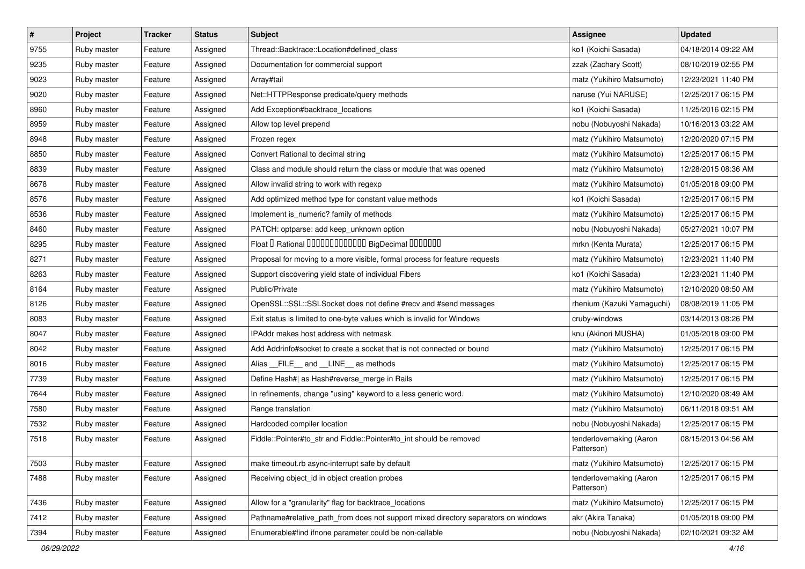| $\vert$ # | Project     | <b>Tracker</b> | <b>Status</b> | Subject                                                                            | <b>Assignee</b>                       | <b>Updated</b>      |
|-----------|-------------|----------------|---------------|------------------------------------------------------------------------------------|---------------------------------------|---------------------|
| 9755      | Ruby master | Feature        | Assigned      | Thread::Backtrace::Location#defined_class                                          | ko1 (Koichi Sasada)                   | 04/18/2014 09:22 AM |
| 9235      | Ruby master | Feature        | Assigned      | Documentation for commercial support                                               | zzak (Zachary Scott)                  | 08/10/2019 02:55 PM |
| 9023      | Ruby master | Feature        | Assigned      | Array#tail                                                                         | matz (Yukihiro Matsumoto)             | 12/23/2021 11:40 PM |
| 9020      | Ruby master | Feature        | Assigned      | Net::HTTPResponse predicate/query methods                                          | naruse (Yui NARUSE)                   | 12/25/2017 06:15 PM |
| 8960      | Ruby master | Feature        | Assigned      | Add Exception#backtrace_locations                                                  | ko1 (Koichi Sasada)                   | 11/25/2016 02:15 PM |
| 8959      | Ruby master | Feature        | Assigned      | Allow top level prepend                                                            | nobu (Nobuyoshi Nakada)               | 10/16/2013 03:22 AM |
| 8948      | Ruby master | Feature        | Assigned      | Frozen regex                                                                       | matz (Yukihiro Matsumoto)             | 12/20/2020 07:15 PM |
| 8850      | Ruby master | Feature        | Assigned      | Convert Rational to decimal string                                                 | matz (Yukihiro Matsumoto)             | 12/25/2017 06:15 PM |
| 8839      | Ruby master | Feature        | Assigned      | Class and module should return the class or module that was opened                 | matz (Yukihiro Matsumoto)             | 12/28/2015 08:36 AM |
| 8678      | Ruby master | Feature        | Assigned      | Allow invalid string to work with regexp                                           | matz (Yukihiro Matsumoto)             | 01/05/2018 09:00 PM |
| 8576      | Ruby master | Feature        | Assigned      | Add optimized method type for constant value methods                               | ko1 (Koichi Sasada)                   | 12/25/2017 06:15 PM |
| 8536      | Ruby master | Feature        | Assigned      | Implement is_numeric? family of methods                                            | matz (Yukihiro Matsumoto)             | 12/25/2017 06:15 PM |
| 8460      | Ruby master | Feature        | Assigned      | PATCH: optparse: add keep_unknown option                                           | nobu (Nobuyoshi Nakada)               | 05/27/2021 10:07 PM |
| 8295      | Ruby master | Feature        | Assigned      | Float I Rational 0000000000000 BigDecimal 0000000                                  | mrkn (Kenta Murata)                   | 12/25/2017 06:15 PM |
| 8271      | Ruby master | Feature        | Assigned      | Proposal for moving to a more visible, formal process for feature requests         | matz (Yukihiro Matsumoto)             | 12/23/2021 11:40 PM |
| 8263      | Ruby master | Feature        | Assigned      | Support discovering yield state of individual Fibers                               | ko1 (Koichi Sasada)                   | 12/23/2021 11:40 PM |
| 8164      | Ruby master | Feature        | Assigned      | Public/Private                                                                     | matz (Yukihiro Matsumoto)             | 12/10/2020 08:50 AM |
| 8126      | Ruby master | Feature        | Assigned      | OpenSSL::SSL::SSLSocket does not define #recv and #send messages                   | rhenium (Kazuki Yamaguchi)            | 08/08/2019 11:05 PM |
| 8083      | Ruby master | Feature        | Assigned      | Exit status is limited to one-byte values which is invalid for Windows             | cruby-windows                         | 03/14/2013 08:26 PM |
| 8047      | Ruby master | Feature        | Assigned      | IPAddr makes host address with netmask                                             | knu (Akinori MUSHA)                   | 01/05/2018 09:00 PM |
| 8042      | Ruby master | Feature        | Assigned      | Add Addrinfo#socket to create a socket that is not connected or bound              | matz (Yukihiro Matsumoto)             | 12/25/2017 06:15 PM |
| 8016      | Ruby master | Feature        | Assigned      | Alias FILE and LINE as methods                                                     | matz (Yukihiro Matsumoto)             | 12/25/2017 06:15 PM |
| 7739      | Ruby master | Feature        | Assigned      | Define Hash#  as Hash#reverse_merge in Rails                                       | matz (Yukihiro Matsumoto)             | 12/25/2017 06:15 PM |
| 7644      | Ruby master | Feature        | Assigned      | In refinements, change "using" keyword to a less generic word.                     | matz (Yukihiro Matsumoto)             | 12/10/2020 08:49 AM |
| 7580      | Ruby master | Feature        | Assigned      | Range translation                                                                  | matz (Yukihiro Matsumoto)             | 06/11/2018 09:51 AM |
| 7532      | Ruby master | Feature        | Assigned      | Hardcoded compiler location                                                        | nobu (Nobuyoshi Nakada)               | 12/25/2017 06:15 PM |
| 7518      | Ruby master | Feature        | Assigned      | Fiddle::Pointer#to_str and Fiddle::Pointer#to_int should be removed                | tenderlovemaking (Aaron<br>Patterson) | 08/15/2013 04:56 AM |
| 7503      | Ruby master | Feature        | Assigned      | make timeout.rb async-interrupt safe by default                                    | matz (Yukihiro Matsumoto)             | 12/25/2017 06:15 PM |
| 7488      | Ruby master | Feature        | Assigned      | Receiving object_id in object creation probes                                      | tenderlovemaking (Aaron<br>Patterson) | 12/25/2017 06:15 PM |
| 7436      | Ruby master | Feature        | Assigned      | Allow for a "granularity" flag for backtrace_locations                             | matz (Yukihiro Matsumoto)             | 12/25/2017 06:15 PM |
| 7412      | Ruby master | Feature        | Assigned      | Pathname#relative_path_from does not support mixed directory separators on windows | akr (Akira Tanaka)                    | 01/05/2018 09:00 PM |
| 7394      | Ruby master | Feature        | Assigned      | Enumerable#find ifnone parameter could be non-callable                             | nobu (Nobuyoshi Nakada)               | 02/10/2021 09:32 AM |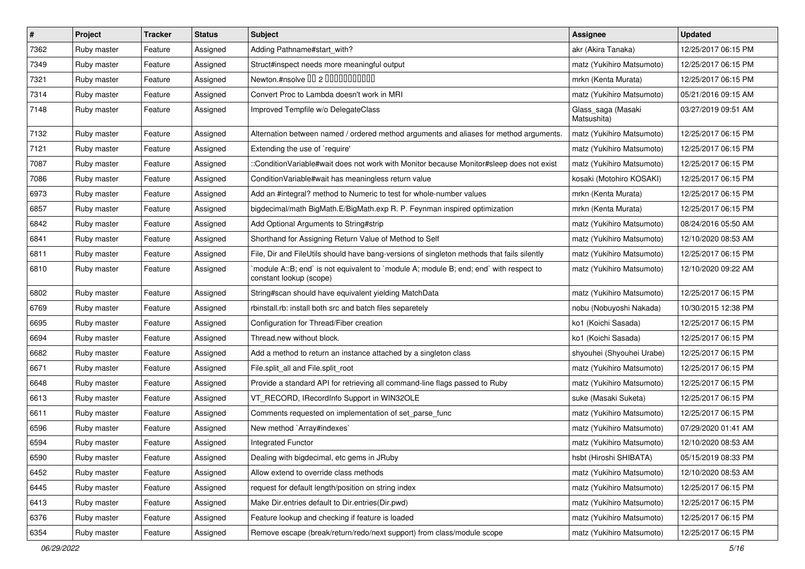| $\vert$ # | Project     | <b>Tracker</b> | <b>Status</b> | <b>Subject</b>                                                                                                    | Assignee                          | <b>Updated</b>      |
|-----------|-------------|----------------|---------------|-------------------------------------------------------------------------------------------------------------------|-----------------------------------|---------------------|
| 7362      | Ruby master | Feature        | Assigned      | Adding Pathname#start_with?                                                                                       | akr (Akira Tanaka)                | 12/25/2017 06:15 PM |
| 7349      | Ruby master | Feature        | Assigned      | Struct#inspect needs more meaningful output                                                                       | matz (Yukihiro Matsumoto)         | 12/25/2017 06:15 PM |
| 7321      | Ruby master | Feature        | Assigned      | Newton.#nsolve 00 2 00000000000                                                                                   | mrkn (Kenta Murata)               | 12/25/2017 06:15 PM |
| 7314      | Ruby master | Feature        | Assigned      | Convert Proc to Lambda doesn't work in MRI                                                                        | matz (Yukihiro Matsumoto)         | 05/21/2016 09:15 AM |
| 7148      | Ruby master | Feature        | Assigned      | Improved Tempfile w/o DelegateClass                                                                               | Glass_saga (Masaki<br>Matsushita) | 03/27/2019 09:51 AM |
| 7132      | Ruby master | Feature        | Assigned      | Alternation between named / ordered method arguments and aliases for method arguments.                            | matz (Yukihiro Matsumoto)         | 12/25/2017 06:15 PM |
| 7121      | Ruby master | Feature        | Assigned      | Extending the use of `require'                                                                                    | matz (Yukihiro Matsumoto)         | 12/25/2017 06:15 PM |
| 7087      | Ruby master | Feature        | Assigned      | ::ConditionVariable#wait does not work with Monitor because Monitor#sleep does not exist                          | matz (Yukihiro Matsumoto)         | 12/25/2017 06:15 PM |
| 7086      | Ruby master | Feature        | Assigned      | ConditionVariable#wait has meaningless return value                                                               | kosaki (Motohiro KOSAKI)          | 12/25/2017 06:15 PM |
| 6973      | Ruby master | Feature        | Assigned      | Add an #integral? method to Numeric to test for whole-number values                                               | mrkn (Kenta Murata)               | 12/25/2017 06:15 PM |
| 6857      | Ruby master | Feature        | Assigned      | bigdecimal/math BigMath.E/BigMath.exp R. P. Feynman inspired optimization                                         | mrkn (Kenta Murata)               | 12/25/2017 06:15 PM |
| 6842      | Ruby master | Feature        | Assigned      | Add Optional Arguments to String#strip                                                                            | matz (Yukihiro Matsumoto)         | 08/24/2016 05:50 AM |
| 6841      | Ruby master | Feature        | Assigned      | Shorthand for Assigning Return Value of Method to Self                                                            | matz (Yukihiro Matsumoto)         | 12/10/2020 08:53 AM |
| 6811      | Ruby master | Feature        | Assigned      | File, Dir and FileUtils should have bang-versions of singleton methods that fails silently                        | matz (Yukihiro Matsumoto)         | 12/25/2017 06:15 PM |
| 6810      | Ruby master | Feature        | Assigned      | 'module A::B; end' is not equivalent to 'module A; module B; end; end' with respect to<br>constant lookup (scope) | matz (Yukihiro Matsumoto)         | 12/10/2020 09:22 AM |
| 6802      | Ruby master | Feature        | Assigned      | String#scan should have equivalent yielding MatchData                                                             | matz (Yukihiro Matsumoto)         | 12/25/2017 06:15 PM |
| 6769      | Ruby master | Feature        | Assigned      | rbinstall.rb: install both src and batch files separetely                                                         | nobu (Nobuyoshi Nakada)           | 10/30/2015 12:38 PM |
| 6695      | Ruby master | Feature        | Assigned      | Configuration for Thread/Fiber creation                                                                           | ko1 (Koichi Sasada)               | 12/25/2017 06:15 PM |
| 6694      | Ruby master | Feature        | Assigned      | Thread.new without block.                                                                                         | ko1 (Koichi Sasada)               | 12/25/2017 06:15 PM |
| 6682      | Ruby master | Feature        | Assigned      | Add a method to return an instance attached by a singleton class                                                  | shyouhei (Shyouhei Urabe)         | 12/25/2017 06:15 PM |
| 6671      | Ruby master | Feature        | Assigned      | File.split_all and File.split_root                                                                                | matz (Yukihiro Matsumoto)         | 12/25/2017 06:15 PM |
| 6648      | Ruby master | Feature        | Assigned      | Provide a standard API for retrieving all command-line flags passed to Ruby                                       | matz (Yukihiro Matsumoto)         | 12/25/2017 06:15 PM |
| 6613      | Ruby master | Feature        | Assigned      | VT_RECORD, IRecordInfo Support in WIN32OLE                                                                        | suke (Masaki Suketa)              | 12/25/2017 06:15 PM |
| 6611      | Ruby master | Feature        | Assigned      | Comments requested on implementation of set_parse_func                                                            | matz (Yukihiro Matsumoto)         | 12/25/2017 06:15 PM |
| 6596      | Ruby master | Feature        | Assigned      | New method `Array#indexes`                                                                                        | matz (Yukihiro Matsumoto)         | 07/29/2020 01:41 AM |
| 6594      | Ruby master | Feature        | Assigned      | Integrated Functor                                                                                                | matz (Yukihiro Matsumoto)         | 12/10/2020 08:53 AM |
| 6590      | Ruby master | Feature        | Assigned      | Dealing with bigdecimal, etc gems in JRuby                                                                        | hsbt (Hiroshi SHIBATA)            | 05/15/2019 08:33 PM |
| 6452      | Ruby master | Feature        | Assigned      | Allow extend to override class methods                                                                            | matz (Yukihiro Matsumoto)         | 12/10/2020 08:53 AM |
| 6445      | Ruby master | Feature        | Assigned      | request for default length/position on string index                                                               | matz (Yukihiro Matsumoto)         | 12/25/2017 06:15 PM |
| 6413      | Ruby master | Feature        | Assigned      | Make Dir.entries default to Dir.entries(Dir.pwd)                                                                  | matz (Yukihiro Matsumoto)         | 12/25/2017 06:15 PM |
| 6376      | Ruby master | Feature        | Assigned      | Feature lookup and checking if feature is loaded                                                                  | matz (Yukihiro Matsumoto)         | 12/25/2017 06:15 PM |
| 6354      | Ruby master | Feature        | Assigned      | Remove escape (break/return/redo/next support) from class/module scope                                            | matz (Yukihiro Matsumoto)         | 12/25/2017 06:15 PM |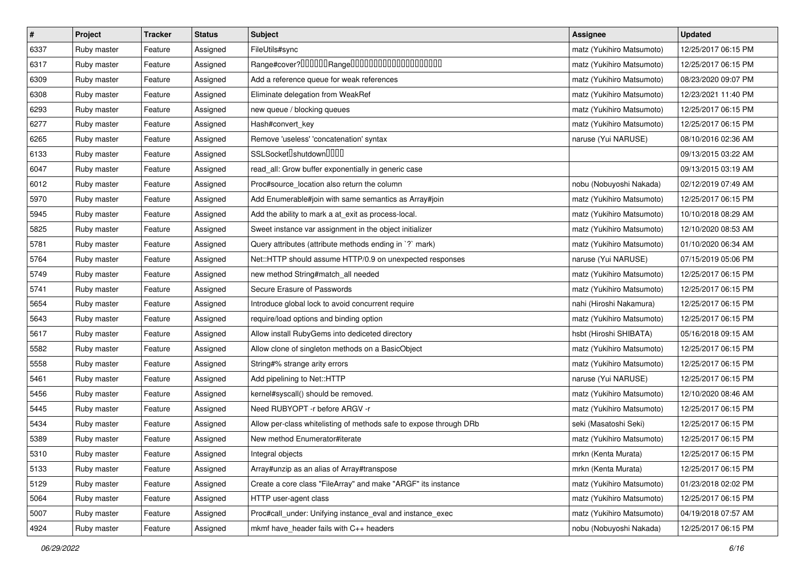| $\vert$ # | Project     | <b>Tracker</b> | <b>Status</b> | <b>Subject</b>                                                     | <b>Assignee</b>           | <b>Updated</b>      |
|-----------|-------------|----------------|---------------|--------------------------------------------------------------------|---------------------------|---------------------|
| 6337      | Ruby master | Feature        | Assigned      | FileUtils#sync                                                     | matz (Yukihiro Matsumoto) | 12/25/2017 06:15 PM |
| 6317      | Ruby master | Feature        | Assigned      |                                                                    | matz (Yukihiro Matsumoto) | 12/25/2017 06:15 PM |
| 6309      | Ruby master | Feature        | Assigned      | Add a reference queue for weak references                          | matz (Yukihiro Matsumoto) | 08/23/2020 09:07 PM |
| 6308      | Ruby master | Feature        | Assigned      | Eliminate delegation from WeakRef                                  | matz (Yukihiro Matsumoto) | 12/23/2021 11:40 PM |
| 6293      | Ruby master | Feature        | Assigned      | new queue / blocking queues                                        | matz (Yukihiro Matsumoto) | 12/25/2017 06:15 PM |
| 6277      | Ruby master | Feature        | Assigned      | Hash#convert_key                                                   | matz (Yukihiro Matsumoto) | 12/25/2017 06:15 PM |
| 6265      | Ruby master | Feature        | Assigned      | Remove 'useless' 'concatenation' syntax                            | naruse (Yui NARUSE)       | 08/10/2016 02:36 AM |
| 6133      | Ruby master | Feature        | Assigned      | SSLSocket <sup>[]</sup> shutdown <sup>[][][]</sup>                 |                           | 09/13/2015 03:22 AM |
| 6047      | Ruby master | Feature        | Assigned      | read_all: Grow buffer exponentially in generic case                |                           | 09/13/2015 03:19 AM |
| 6012      | Ruby master | Feature        | Assigned      | Proc#source_location also return the column                        | nobu (Nobuyoshi Nakada)   | 02/12/2019 07:49 AM |
| 5970      | Ruby master | Feature        | Assigned      | Add Enumerable#join with same semantics as Array#join              | matz (Yukihiro Matsumoto) | 12/25/2017 06:15 PM |
| 5945      | Ruby master | Feature        | Assigned      | Add the ability to mark a at_exit as process-local.                | matz (Yukihiro Matsumoto) | 10/10/2018 08:29 AM |
| 5825      | Ruby master | Feature        | Assigned      | Sweet instance var assignment in the object initializer            | matz (Yukihiro Matsumoto) | 12/10/2020 08:53 AM |
| 5781      | Ruby master | Feature        | Assigned      | Query attributes (attribute methods ending in `?` mark)            | matz (Yukihiro Matsumoto) | 01/10/2020 06:34 AM |
| 5764      | Ruby master | Feature        | Assigned      | Net::HTTP should assume HTTP/0.9 on unexpected responses           | naruse (Yui NARUSE)       | 07/15/2019 05:06 PM |
| 5749      | Ruby master | Feature        | Assigned      | new method String#match_all needed                                 | matz (Yukihiro Matsumoto) | 12/25/2017 06:15 PM |
| 5741      | Ruby master | Feature        | Assigned      | Secure Erasure of Passwords                                        | matz (Yukihiro Matsumoto) | 12/25/2017 06:15 PM |
| 5654      | Ruby master | Feature        | Assigned      | Introduce global lock to avoid concurrent require                  | nahi (Hiroshi Nakamura)   | 12/25/2017 06:15 PM |
| 5643      | Ruby master | Feature        | Assigned      | require/load options and binding option                            | matz (Yukihiro Matsumoto) | 12/25/2017 06:15 PM |
| 5617      | Ruby master | Feature        | Assigned      | Allow install RubyGems into dediceted directory                    | hsbt (Hiroshi SHIBATA)    | 05/16/2018 09:15 AM |
| 5582      | Ruby master | Feature        | Assigned      | Allow clone of singleton methods on a BasicObject                  | matz (Yukihiro Matsumoto) | 12/25/2017 06:15 PM |
| 5558      | Ruby master | Feature        | Assigned      | String#% strange arity errors                                      | matz (Yukihiro Matsumoto) | 12/25/2017 06:15 PM |
| 5461      | Ruby master | Feature        | Assigned      | Add pipelining to Net::HTTP                                        | naruse (Yui NARUSE)       | 12/25/2017 06:15 PM |
| 5456      | Ruby master | Feature        | Assigned      | kernel#syscall() should be removed.                                | matz (Yukihiro Matsumoto) | 12/10/2020 08:46 AM |
| 5445      | Ruby master | Feature        | Assigned      | Need RUBYOPT -r before ARGV -r                                     | matz (Yukihiro Matsumoto) | 12/25/2017 06:15 PM |
| 5434      | Ruby master | Feature        | Assigned      | Allow per-class whitelisting of methods safe to expose through DRb | seki (Masatoshi Seki)     | 12/25/2017 06:15 PM |
| 5389      | Ruby master | Feature        | Assigned      | New method Enumerator#iterate                                      | matz (Yukihiro Matsumoto) | 12/25/2017 06:15 PM |
| 5310      | Ruby master | Feature        | Assigned      | Integral objects                                                   | mrkn (Kenta Murata)       | 12/25/2017 06:15 PM |
| 5133      | Ruby master | Feature        | Assigned      | Array#unzip as an alias of Array#transpose                         | mrkn (Kenta Murata)       | 12/25/2017 06:15 PM |
| 5129      | Ruby master | Feature        | Assigned      | Create a core class "FileArray" and make "ARGF" its instance       | matz (Yukihiro Matsumoto) | 01/23/2018 02:02 PM |
| 5064      | Ruby master | Feature        | Assigned      | HTTP user-agent class                                              | matz (Yukihiro Matsumoto) | 12/25/2017 06:15 PM |
| 5007      | Ruby master | Feature        | Assigned      | Proc#call_under: Unifying instance_eval and instance_exec          | matz (Yukihiro Matsumoto) | 04/19/2018 07:57 AM |
| 4924      | Ruby master | Feature        | Assigned      | mkmf have_header fails with C++ headers                            | nobu (Nobuyoshi Nakada)   | 12/25/2017 06:15 PM |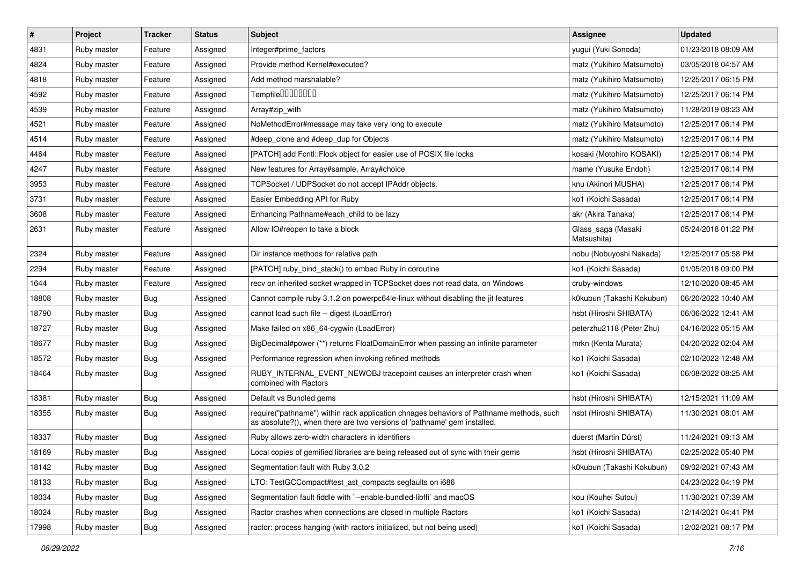| $\vert$ # | Project     | <b>Tracker</b> | <b>Status</b> | <b>Subject</b>                                                                                                                                                      | <b>Assignee</b>                   | <b>Updated</b>      |
|-----------|-------------|----------------|---------------|---------------------------------------------------------------------------------------------------------------------------------------------------------------------|-----------------------------------|---------------------|
| 4831      | Ruby master | Feature        | Assigned      | Integer#prime_factors                                                                                                                                               | yugui (Yuki Sonoda)               | 01/23/2018 08:09 AM |
| 4824      | Ruby master | Feature        | Assigned      | Provide method Kernel#executed?                                                                                                                                     | matz (Yukihiro Matsumoto)         | 03/05/2018 04:57 AM |
| 4818      | Ruby master | Feature        | Assigned      | Add method marshalable?                                                                                                                                             | matz (Yukihiro Matsumoto)         | 12/25/2017 06:15 PM |
| 4592      | Ruby master | Feature        | Assigned      | Tempfile0000000                                                                                                                                                     | matz (Yukihiro Matsumoto)         | 12/25/2017 06:14 PM |
| 4539      | Ruby master | Feature        | Assigned      | Array#zip_with                                                                                                                                                      | matz (Yukihiro Matsumoto)         | 11/28/2019 08:23 AM |
| 4521      | Ruby master | Feature        | Assigned      | NoMethodError#message may take very long to execute                                                                                                                 | matz (Yukihiro Matsumoto)         | 12/25/2017 06:14 PM |
| 4514      | Ruby master | Feature        | Assigned      | #deep clone and #deep dup for Objects                                                                                                                               | matz (Yukihiro Matsumoto)         | 12/25/2017 06:14 PM |
| 4464      | Ruby master | Feature        | Assigned      | [PATCH] add Fcntl:: Flock object for easier use of POSIX file locks                                                                                                 | kosaki (Motohiro KOSAKI)          | 12/25/2017 06:14 PM |
| 4247      | Ruby master | Feature        | Assigned      | New features for Array#sample, Array#choice                                                                                                                         | mame (Yusuke Endoh)               | 12/25/2017 06:14 PM |
| 3953      | Ruby master | Feature        | Assigned      | TCPSocket / UDPSocket do not accept IPAddr objects.                                                                                                                 | knu (Akinori MUSHA)               | 12/25/2017 06:14 PM |
| 3731      | Ruby master | Feature        | Assigned      | Easier Embedding API for Ruby                                                                                                                                       | ko1 (Koichi Sasada)               | 12/25/2017 06:14 PM |
| 3608      | Ruby master | Feature        | Assigned      | Enhancing Pathname#each_child to be lazy                                                                                                                            | akr (Akira Tanaka)                | 12/25/2017 06:14 PM |
| 2631      | Ruby master | Feature        | Assigned      | Allow IO#reopen to take a block                                                                                                                                     | Glass_saga (Masaki<br>Matsushita) | 05/24/2018 01:22 PM |
| 2324      | Ruby master | Feature        | Assigned      | Dir instance methods for relative path                                                                                                                              | nobu (Nobuyoshi Nakada)           | 12/25/2017 05:58 PM |
| 2294      | Ruby master | Feature        | Assigned      | [PATCH] ruby bind stack() to embed Ruby in coroutine                                                                                                                | ko1 (Koichi Sasada)               | 01/05/2018 09:00 PM |
| 1644      | Ruby master | Feature        | Assigned      | recv on inherited socket wrapped in TCPSocket does not read data, on Windows                                                                                        | cruby-windows                     | 12/10/2020 08:45 AM |
| 18808     | Ruby master | <b>Bug</b>     | Assigned      | Cannot compile ruby 3.1.2 on powerpc64le-linux without disabling the jit features                                                                                   | k0kubun (Takashi Kokubun)         | 06/20/2022 10:40 AM |
| 18790     | Ruby master | Bug            | Assigned      | cannot load such file -- digest (LoadError)                                                                                                                         | hsbt (Hiroshi SHIBATA)            | 06/06/2022 12:41 AM |
| 18727     | Ruby master | Bug            | Assigned      | Make failed on x86_64-cygwin (LoadError)                                                                                                                            | peterzhu2118 (Peter Zhu)          | 04/16/2022 05:15 AM |
| 18677     | Ruby master | <b>Bug</b>     | Assigned      | BigDecimal#power (**) returns FloatDomainError when passing an infinite parameter                                                                                   | mrkn (Kenta Murata)               | 04/20/2022 02:04 AM |
| 18572     | Ruby master | <b>Bug</b>     | Assigned      | Performance regression when invoking refined methods                                                                                                                | ko1 (Koichi Sasada)               | 02/10/2022 12:48 AM |
| 18464     | Ruby master | Bug            | Assigned      | RUBY_INTERNAL_EVENT_NEWOBJ tracepoint causes an interpreter crash when<br>combined with Ractors                                                                     | ko1 (Koichi Sasada)               | 06/08/2022 08:25 AM |
| 18381     | Ruby master | <b>Bug</b>     | Assigned      | Default vs Bundled gems                                                                                                                                             | hsbt (Hiroshi SHIBATA)            | 12/15/2021 11:09 AM |
| 18355     | Ruby master | Bug            | Assigned      | require("pathname") within rack application chnages behaviors of Pathname methods, such<br>as absolute?(), when there are two versions of 'pathname' gem installed. | hsbt (Hiroshi SHIBATA)            | 11/30/2021 08:01 AM |
| 18337     | Ruby master | <b>Bug</b>     | Assigned      | Ruby allows zero-width characters in identifiers                                                                                                                    | duerst (Martin Dürst)             | 11/24/2021 09:13 AM |
| 18169     | Ruby master | Bug            | Assigned      | Local copies of gemified libraries are being released out of sync with their gems                                                                                   | hsbt (Hiroshi SHIBATA)            | 02/25/2022 05:40 PM |
| 18142     | Ruby master | <b>Bug</b>     | Assigned      | Segmentation fault with Ruby 3.0.2                                                                                                                                  | k0kubun (Takashi Kokubun)         | 09/02/2021 07:43 AM |
| 18133     | Ruby master | <b>Bug</b>     | Assigned      | LTO: TestGCCompact#test_ast_compacts segfaults on i686                                                                                                              |                                   | 04/23/2022 04:19 PM |
| 18034     | Ruby master | Bug            | Assigned      | Segmentation fault fiddle with `--enable-bundled-libffi` and macOS                                                                                                  | kou (Kouhei Sutou)                | 11/30/2021 07:39 AM |
| 18024     | Ruby master | Bug            | Assigned      | Ractor crashes when connections are closed in multiple Ractors                                                                                                      | ko1 (Koichi Sasada)               | 12/14/2021 04:41 PM |
| 17998     | Ruby master | <b>Bug</b>     | Assigned      | ractor: process hanging (with ractors initialized, but not being used)                                                                                              | ko1 (Koichi Sasada)               | 12/02/2021 08:17 PM |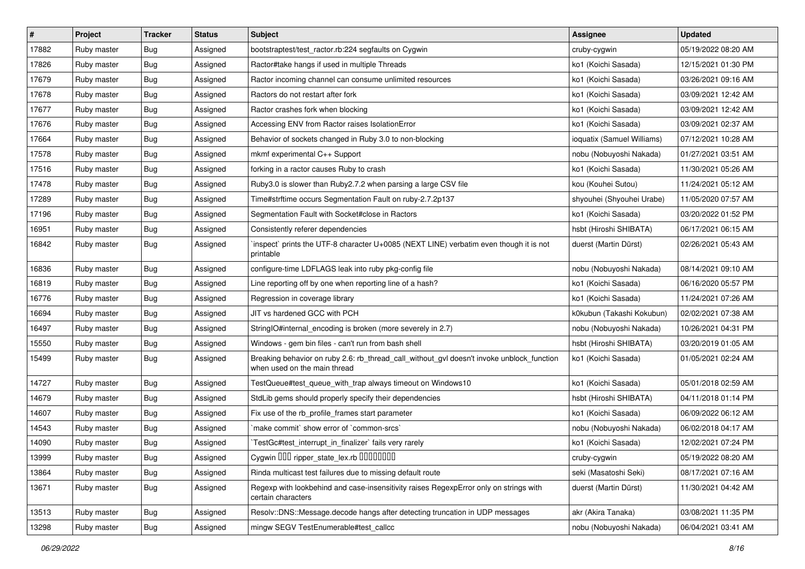| $\vert$ # | Project     | <b>Tracker</b> | <b>Status</b> | <b>Subject</b>                                                                                                            | <b>Assignee</b>            | <b>Updated</b>      |
|-----------|-------------|----------------|---------------|---------------------------------------------------------------------------------------------------------------------------|----------------------------|---------------------|
| 17882     | Ruby master | Bug            | Assigned      | bootstraptest/test_ractor.rb:224 segfaults on Cygwin                                                                      | cruby-cygwin               | 05/19/2022 08:20 AM |
| 17826     | Ruby master | <b>Bug</b>     | Assigned      | Ractor#take hangs if used in multiple Threads                                                                             | ko1 (Koichi Sasada)        | 12/15/2021 01:30 PM |
| 17679     | Ruby master | Bug            | Assigned      | Ractor incoming channel can consume unlimited resources                                                                   | ko1 (Koichi Sasada)        | 03/26/2021 09:16 AM |
| 17678     | Ruby master | Bug            | Assigned      | Ractors do not restart after fork                                                                                         | ko1 (Koichi Sasada)        | 03/09/2021 12:42 AM |
| 17677     | Ruby master | <b>Bug</b>     | Assigned      | Ractor crashes fork when blocking                                                                                         | ko1 (Koichi Sasada)        | 03/09/2021 12:42 AM |
| 17676     | Ruby master | Bug            | Assigned      | Accessing ENV from Ractor raises IsolationError                                                                           | ko1 (Koichi Sasada)        | 03/09/2021 02:37 AM |
| 17664     | Ruby master | Bug            | Assigned      | Behavior of sockets changed in Ruby 3.0 to non-blocking                                                                   | ioquatix (Samuel Williams) | 07/12/2021 10:28 AM |
| 17578     | Ruby master | Bug            | Assigned      | mkmf experimental C++ Support                                                                                             | nobu (Nobuyoshi Nakada)    | 01/27/2021 03:51 AM |
| 17516     | Ruby master | Bug            | Assigned      | forking in a ractor causes Ruby to crash                                                                                  | ko1 (Koichi Sasada)        | 11/30/2021 05:26 AM |
| 17478     | Ruby master | <b>Bug</b>     | Assigned      | Ruby3.0 is slower than Ruby2.7.2 when parsing a large CSV file                                                            | kou (Kouhei Sutou)         | 11/24/2021 05:12 AM |
| 17289     | Ruby master | Bug            | Assigned      | Time#strftime occurs Segmentation Fault on ruby-2.7.2p137                                                                 | shyouhei (Shyouhei Urabe)  | 11/05/2020 07:57 AM |
| 17196     | Ruby master | Bug            | Assigned      | Segmentation Fault with Socket#close in Ractors                                                                           | ko1 (Koichi Sasada)        | 03/20/2022 01:52 PM |
| 16951     | Ruby master | Bug            | Assigned      | Consistently referer dependencies                                                                                         | hsbt (Hiroshi SHIBATA)     | 06/17/2021 06:15 AM |
| 16842     | Ruby master | Bug            | Assigned      | 'inspect' prints the UTF-8 character U+0085 (NEXT LINE) verbatim even though it is not<br>printable                       | duerst (Martin Dürst)      | 02/26/2021 05:43 AM |
| 16836     | Ruby master | Bug            | Assigned      | configure-time LDFLAGS leak into ruby pkg-config file                                                                     | nobu (Nobuyoshi Nakada)    | 08/14/2021 09:10 AM |
| 16819     | Ruby master | Bug            | Assigned      | Line reporting off by one when reporting line of a hash?                                                                  | ko1 (Koichi Sasada)        | 06/16/2020 05:57 PM |
| 16776     | Ruby master | <b>Bug</b>     | Assigned      | Regression in coverage library                                                                                            | ko1 (Koichi Sasada)        | 11/24/2021 07:26 AM |
| 16694     | Ruby master | Bug            | Assigned      | JIT vs hardened GCC with PCH                                                                                              | k0kubun (Takashi Kokubun)  | 02/02/2021 07:38 AM |
| 16497     | Ruby master | Bug            | Assigned      | StringIO#internal_encoding is broken (more severely in 2.7)                                                               | nobu (Nobuyoshi Nakada)    | 10/26/2021 04:31 PM |
| 15550     | Ruby master | Bug            | Assigned      | Windows - gem bin files - can't run from bash shell                                                                       | hsbt (Hiroshi SHIBATA)     | 03/20/2019 01:05 AM |
| 15499     | Ruby master | Bug            | Assigned      | Breaking behavior on ruby 2.6: rb_thread_call_without_gvl doesn't invoke unblock_function<br>when used on the main thread | ko1 (Koichi Sasada)        | 01/05/2021 02:24 AM |
| 14727     | Ruby master | Bug            | Assigned      | TestQueue#test_queue_with_trap always timeout on Windows10                                                                | ko1 (Koichi Sasada)        | 05/01/2018 02:59 AM |
| 14679     | Ruby master | Bug            | Assigned      | StdLib gems should properly specify their dependencies                                                                    | hsbt (Hiroshi SHIBATA)     | 04/11/2018 01:14 PM |
| 14607     | Ruby master | <b>Bug</b>     | Assigned      | Fix use of the rb_profile_frames start parameter                                                                          | ko1 (Koichi Sasada)        | 06/09/2022 06:12 AM |
| 14543     | Ruby master | Bug            | Assigned      | `make commit` show error of `common-srcs`                                                                                 | nobu (Nobuyoshi Nakada)    | 06/02/2018 04:17 AM |
| 14090     | Ruby master | Bug            | Assigned      | TestGc#test_interrupt_in_finalizer` fails very rarely                                                                     | ko1 (Koichi Sasada)        | 12/02/2021 07:24 PM |
| 13999     | Ruby master | Bug            | Assigned      | Cygwin 000 ripper_state_lex.rb 00000000                                                                                   | cruby-cygwin               | 05/19/2022 08:20 AM |
| 13864     | Ruby master | <b>Bug</b>     | Assigned      | Rinda multicast test failures due to missing default route                                                                | seki (Masatoshi Seki)      | 08/17/2021 07:16 AM |
| 13671     | Ruby master | <b>Bug</b>     | Assigned      | Regexp with lookbehind and case-insensitivity raises RegexpError only on strings with<br>certain characters               | duerst (Martin Dürst)      | 11/30/2021 04:42 AM |
| 13513     | Ruby master | Bug            | Assigned      | Resolv::DNS::Message.decode hangs after detecting truncation in UDP messages                                              | akr (Akira Tanaka)         | 03/08/2021 11:35 PM |
| 13298     | Ruby master | Bug            | Assigned      | mingw SEGV TestEnumerable#test_callcc                                                                                     | nobu (Nobuyoshi Nakada)    | 06/04/2021 03:41 AM |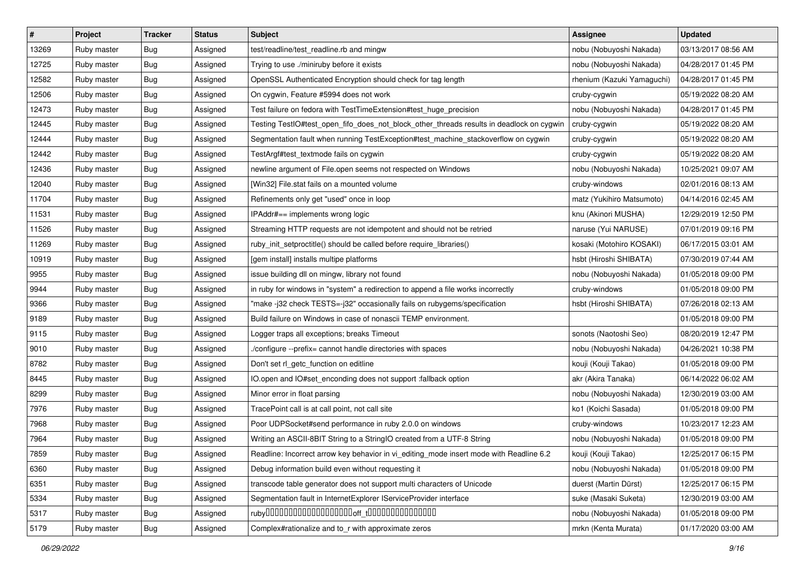| $\vert$ # | Project     | <b>Tracker</b> | <b>Status</b> | <b>Subject</b>                                                                           | <b>Assignee</b>            | <b>Updated</b>      |
|-----------|-------------|----------------|---------------|------------------------------------------------------------------------------------------|----------------------------|---------------------|
| 13269     | Ruby master | <b>Bug</b>     | Assigned      | test/readline/test_readline.rb and mingw                                                 | nobu (Nobuyoshi Nakada)    | 03/13/2017 08:56 AM |
| 12725     | Ruby master | Bug            | Assigned      | Trying to use ./miniruby before it exists                                                | nobu (Nobuyoshi Nakada)    | 04/28/2017 01:45 PM |
| 12582     | Ruby master | Bug            | Assigned      | OpenSSL Authenticated Encryption should check for tag length                             | rhenium (Kazuki Yamaguchi) | 04/28/2017 01:45 PM |
| 12506     | Ruby master | Bug            | Assigned      | On cygwin, Feature #5994 does not work                                                   | cruby-cygwin               | 05/19/2022 08:20 AM |
| 12473     | Ruby master | Bug            | Assigned      | Test failure on fedora with TestTimeExtension#test_huge_precision                        | nobu (Nobuyoshi Nakada)    | 04/28/2017 01:45 PM |
| 12445     | Ruby master | Bug            | Assigned      | Testing TestIO#test_open_fifo_does_not_block_other_threads results in deadlock on cygwin | cruby-cygwin               | 05/19/2022 08:20 AM |
| 12444     | Ruby master | Bug            | Assigned      | Segmentation fault when running TestException#test_machine_stackoverflow on cygwin       | cruby-cygwin               | 05/19/2022 08:20 AM |
| 12442     | Ruby master | Bug            | Assigned      | TestArgf#test_textmode fails on cygwin                                                   | cruby-cygwin               | 05/19/2022 08:20 AM |
| 12436     | Ruby master | Bug            | Assigned      | newline argument of File.open seems not respected on Windows                             | nobu (Nobuyoshi Nakada)    | 10/25/2021 09:07 AM |
| 12040     | Ruby master | Bug            | Assigned      | [Win32] File.stat fails on a mounted volume                                              | cruby-windows              | 02/01/2016 08:13 AM |
| 11704     | Ruby master | Bug            | Assigned      | Refinements only get "used" once in loop                                                 | matz (Yukihiro Matsumoto)  | 04/14/2016 02:45 AM |
| 11531     | Ruby master | Bug            | Assigned      | IPAddr#== implements wrong logic                                                         | knu (Akinori MUSHA)        | 12/29/2019 12:50 PM |
| 11526     | Ruby master | Bug            | Assigned      | Streaming HTTP requests are not idempotent and should not be retried                     | naruse (Yui NARUSE)        | 07/01/2019 09:16 PM |
| 11269     | Ruby master | Bug            | Assigned      | ruby_init_setproctitle() should be called before require_libraries()                     | kosaki (Motohiro KOSAKI)   | 06/17/2015 03:01 AM |
| 10919     | Ruby master | Bug            | Assigned      | [gem install] installs multipe platforms                                                 | hsbt (Hiroshi SHIBATA)     | 07/30/2019 07:44 AM |
| 9955      | Ruby master | Bug            | Assigned      | issue building dll on mingw, library not found                                           | nobu (Nobuyoshi Nakada)    | 01/05/2018 09:00 PM |
| 9944      | Ruby master | Bug            | Assigned      | in ruby for windows in "system" a redirection to append a file works incorrectly         | cruby-windows              | 01/05/2018 09:00 PM |
| 9366      | Ruby master | Bug            | Assigned      | "make -j32 check TESTS=-j32" occasionally fails on rubygems/specification                | hsbt (Hiroshi SHIBATA)     | 07/26/2018 02:13 AM |
| 9189      | Ruby master | Bug            | Assigned      | Build failure on Windows in case of nonascii TEMP environment.                           |                            | 01/05/2018 09:00 PM |
| 9115      | Ruby master | Bug            | Assigned      | Logger traps all exceptions; breaks Timeout                                              | sonots (Naotoshi Seo)      | 08/20/2019 12:47 PM |
| 9010      | Ruby master | Bug            | Assigned      | ./configure --prefix= cannot handle directories with spaces                              | nobu (Nobuyoshi Nakada)    | 04/26/2021 10:38 PM |
| 8782      | Ruby master | Bug            | Assigned      | Don't set rl_getc_function on editline                                                   | kouji (Kouji Takao)        | 01/05/2018 09:00 PM |
| 8445      | Ruby master | Bug            | Assigned      | IO.open and IO#set_enconding does not support :fallback option                           | akr (Akira Tanaka)         | 06/14/2022 06:02 AM |
| 8299      | Ruby master | Bug            | Assigned      | Minor error in float parsing                                                             | nobu (Nobuyoshi Nakada)    | 12/30/2019 03:00 AM |
| 7976      | Ruby master | Bug            | Assigned      | TracePoint call is at call point, not call site                                          | ko1 (Koichi Sasada)        | 01/05/2018 09:00 PM |
| 7968      | Ruby master | Bug            | Assigned      | Poor UDPSocket#send performance in ruby 2.0.0 on windows                                 | cruby-windows              | 10/23/2017 12:23 AM |
| 7964      | Ruby master | Bug            | Assigned      | Writing an ASCII-8BIT String to a StringIO created from a UTF-8 String                   | nobu (Nobuyoshi Nakada)    | 01/05/2018 09:00 PM |
| 7859      | Ruby master | <b>Bug</b>     | Assigned      | Readline: Incorrect arrow key behavior in vi_editing_mode insert mode with Readline 6.2  | kouji (Kouji Takao)        | 12/25/2017 06:15 PM |
| 6360      | Ruby master | Bug            | Assigned      | Debug information build even without requesting it                                       | nobu (Nobuyoshi Nakada)    | 01/05/2018 09:00 PM |
| 6351      | Ruby master | <b>Bug</b>     | Assigned      | transcode table generator does not support multi characters of Unicode                   | duerst (Martin Dürst)      | 12/25/2017 06:15 PM |
| 5334      | Ruby master | <b>Bug</b>     | Assigned      | Segmentation fault in InternetExplorer IServiceProvider interface                        | suke (Masaki Suketa)       | 12/30/2019 03:00 AM |
| 5317      | Ruby master | <b>Bug</b>     | Assigned      |                                                                                          | nobu (Nobuyoshi Nakada)    | 01/05/2018 09:00 PM |
| 5179      | Ruby master | Bug            | Assigned      | Complex#rationalize and to_r with approximate zeros                                      | mrkn (Kenta Murata)        | 01/17/2020 03:00 AM |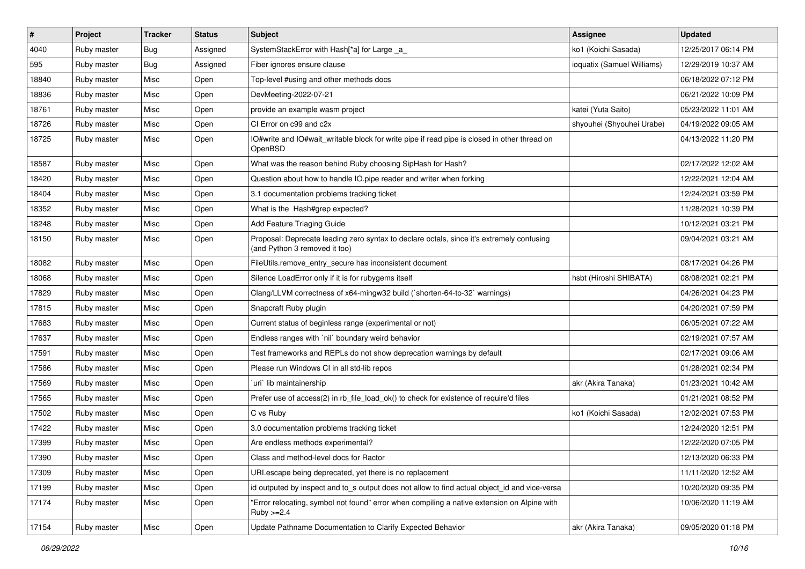| #     | Project     | <b>Tracker</b> | <b>Status</b> | <b>Subject</b>                                                                                                             | Assignee                   | <b>Updated</b>      |
|-------|-------------|----------------|---------------|----------------------------------------------------------------------------------------------------------------------------|----------------------------|---------------------|
| 4040  | Ruby master | Bug            | Assigned      | SystemStackError with Hash[*a] for Large _a_                                                                               | ko1 (Koichi Sasada)        | 12/25/2017 06:14 PM |
| 595   | Ruby master | Bug            | Assigned      | Fiber ignores ensure clause                                                                                                | ioquatix (Samuel Williams) | 12/29/2019 10:37 AM |
| 18840 | Ruby master | Misc           | Open          | Top-level #using and other methods docs                                                                                    |                            | 06/18/2022 07:12 PM |
| 18836 | Ruby master | Misc           | Open          | DevMeeting-2022-07-21                                                                                                      |                            | 06/21/2022 10:09 PM |
| 18761 | Ruby master | Misc           | Open          | provide an example wasm project                                                                                            | katei (Yuta Saito)         | 05/23/2022 11:01 AM |
| 18726 | Ruby master | Misc           | Open          | CI Error on c99 and c2x                                                                                                    | shyouhei (Shyouhei Urabe)  | 04/19/2022 09:05 AM |
| 18725 | Ruby master | Misc           | Open          | IO#write and IO#wait_writable block for write pipe if read pipe is closed in other thread on<br>OpenBSD                    |                            | 04/13/2022 11:20 PM |
| 18587 | Ruby master | Misc           | Open          | What was the reason behind Ruby choosing SipHash for Hash?                                                                 |                            | 02/17/2022 12:02 AM |
| 18420 | Ruby master | Misc           | Open          | Question about how to handle IO.pipe reader and writer when forking                                                        |                            | 12/22/2021 12:04 AM |
| 18404 | Ruby master | Misc           | Open          | 3.1 documentation problems tracking ticket                                                                                 |                            | 12/24/2021 03:59 PM |
| 18352 | Ruby master | Misc           | Open          | What is the Hash#grep expected?                                                                                            |                            | 11/28/2021 10:39 PM |
| 18248 | Ruby master | Misc           | Open          | Add Feature Triaging Guide                                                                                                 |                            | 10/12/2021 03:21 PM |
| 18150 | Ruby master | Misc           | Open          | Proposal: Deprecate leading zero syntax to declare octals, since it's extremely confusing<br>(and Python 3 removed it too) |                            | 09/04/2021 03:21 AM |
| 18082 | Ruby master | Misc           | Open          | FileUtils.remove_entry_secure has inconsistent document                                                                    |                            | 08/17/2021 04:26 PM |
| 18068 | Ruby master | Misc           | Open          | Silence LoadError only if it is for rubygems itself                                                                        | hsbt (Hiroshi SHIBATA)     | 08/08/2021 02:21 PM |
| 17829 | Ruby master | Misc           | Open          | Clang/LLVM correctness of x64-mingw32 build (`shorten-64-to-32` warnings)                                                  |                            | 04/26/2021 04:23 PM |
| 17815 | Ruby master | Misc           | Open          | Snapcraft Ruby plugin                                                                                                      |                            | 04/20/2021 07:59 PM |
| 17683 | Ruby master | Misc           | Open          | Current status of beginless range (experimental or not)                                                                    |                            | 06/05/2021 07:22 AM |
| 17637 | Ruby master | Misc           | Open          | Endless ranges with `nil` boundary weird behavior                                                                          |                            | 02/19/2021 07:57 AM |
| 17591 | Ruby master | Misc           | Open          | Test frameworks and REPLs do not show deprecation warnings by default                                                      |                            | 02/17/2021 09:06 AM |
| 17586 | Ruby master | Misc           | Open          | Please run Windows CI in all std-lib repos                                                                                 |                            | 01/28/2021 02:34 PM |
| 17569 | Ruby master | Misc           | Open          | `uri` lib maintainership                                                                                                   | akr (Akira Tanaka)         | 01/23/2021 10:42 AM |
| 17565 | Ruby master | Misc           | Open          | Prefer use of access(2) in rb_file_load_ok() to check for existence of require'd files                                     |                            | 01/21/2021 08:52 PM |
| 17502 | Ruby master | Misc           | Open          | C vs Ruby                                                                                                                  | ko1 (Koichi Sasada)        | 12/02/2021 07:53 PM |
| 17422 | Ruby master | Misc           | Open          | 3.0 documentation problems tracking ticket                                                                                 |                            | 12/24/2020 12:51 PM |
| 17399 | Ruby master | Misc           | Open          | Are endless methods experimental?                                                                                          |                            | 12/22/2020 07:05 PM |
| 17390 | Ruby master | Misc           | Open          | Class and method-level docs for Ractor                                                                                     |                            | 12/13/2020 06:33 PM |
| 17309 | Ruby master | Misc           | Open          | URI escape being deprecated, yet there is no replacement                                                                   |                            | 11/11/2020 12:52 AM |
| 17199 | Ruby master | Misc           | Open          | id outputed by inspect and to s output does not allow to find actual object id and vice-versa                              |                            | 10/20/2020 09:35 PM |
| 17174 | Ruby master | Misc           | Open          | "Error relocating, symbol not found" error when compiling a native extension on Alpine with<br>$Ruby > = 2.4$              |                            | 10/06/2020 11:19 AM |
| 17154 | Ruby master | Misc           | Open          | Update Pathname Documentation to Clarify Expected Behavior                                                                 | akr (Akira Tanaka)         | 09/05/2020 01:18 PM |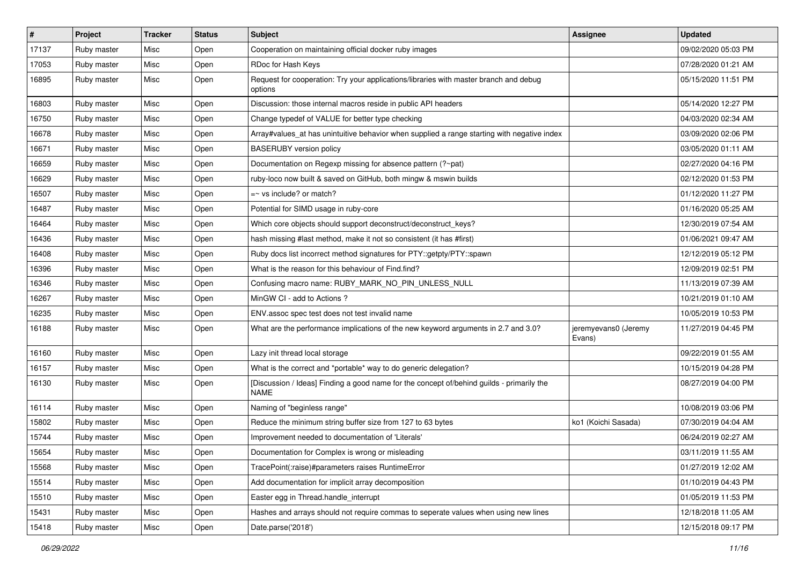| $\vert$ # | Project     | <b>Tracker</b> | <b>Status</b> | <b>Subject</b>                                                                                           | <b>Assignee</b>                | <b>Updated</b>      |
|-----------|-------------|----------------|---------------|----------------------------------------------------------------------------------------------------------|--------------------------------|---------------------|
| 17137     | Ruby master | Misc           | Open          | Cooperation on maintaining official docker ruby images                                                   |                                | 09/02/2020 05:03 PM |
| 17053     | Ruby master | Misc           | Open          | RDoc for Hash Keys                                                                                       |                                | 07/28/2020 01:21 AM |
| 16895     | Ruby master | Misc           | Open          | Request for cooperation: Try your applications/libraries with master branch and debug<br>options         |                                | 05/15/2020 11:51 PM |
| 16803     | Ruby master | Misc           | Open          | Discussion: those internal macros reside in public API headers                                           |                                | 05/14/2020 12:27 PM |
| 16750     | Ruby master | Misc           | Open          | Change typedef of VALUE for better type checking                                                         |                                | 04/03/2020 02:34 AM |
| 16678     | Ruby master | Misc           | Open          | Array#values_at has unintuitive behavior when supplied a range starting with negative index              |                                | 03/09/2020 02:06 PM |
| 16671     | Ruby master | Misc           | Open          | <b>BASERUBY</b> version policy                                                                           |                                | 03/05/2020 01:11 AM |
| 16659     | Ruby master | Misc           | Open          | Documentation on Regexp missing for absence pattern (?~pat)                                              |                                | 02/27/2020 04:16 PM |
| 16629     | Ruby master | Misc           | Open          | ruby-loco now built & saved on GitHub, both mingw & mswin builds                                         |                                | 02/12/2020 01:53 PM |
| 16507     | Ruby master | Misc           | Open          | $=$ vs include? or match?                                                                                |                                | 01/12/2020 11:27 PM |
| 16487     | Ruby master | Misc           | Open          | Potential for SIMD usage in ruby-core                                                                    |                                | 01/16/2020 05:25 AM |
| 16464     | Ruby master | Misc           | Open          | Which core objects should support deconstruct/deconstruct_keys?                                          |                                | 12/30/2019 07:54 AM |
| 16436     | Ruby master | Misc           | Open          | hash missing #last method, make it not so consistent (it has #first)                                     |                                | 01/06/2021 09:47 AM |
| 16408     | Ruby master | Misc           | Open          | Ruby docs list incorrect method signatures for PTY::getpty/PTY::spawn                                    |                                | 12/12/2019 05:12 PM |
| 16396     | Ruby master | Misc           | Open          | What is the reason for this behaviour of Find.find?                                                      |                                | 12/09/2019 02:51 PM |
| 16346     | Ruby master | Misc           | Open          | Confusing macro name: RUBY_MARK_NO_PIN_UNLESS_NULL                                                       |                                | 11/13/2019 07:39 AM |
| 16267     | Ruby master | Misc           | Open          | MinGW CI - add to Actions?                                                                               |                                | 10/21/2019 01:10 AM |
| 16235     | Ruby master | Misc           | Open          | ENV.assoc spec test does not test invalid name                                                           |                                | 10/05/2019 10:53 PM |
| 16188     | Ruby master | Misc           | Open          | What are the performance implications of the new keyword arguments in 2.7 and 3.0?                       | jeremyevans0 (Jeremy<br>Evans) | 11/27/2019 04:45 PM |
| 16160     | Ruby master | Misc           | Open          | Lazy init thread local storage                                                                           |                                | 09/22/2019 01:55 AM |
| 16157     | Ruby master | Misc           | Open          | What is the correct and *portable* way to do generic delegation?                                         |                                | 10/15/2019 04:28 PM |
| 16130     | Ruby master | Misc           | Open          | [Discussion / Ideas] Finding a good name for the concept of/behind guilds - primarily the<br><b>NAME</b> |                                | 08/27/2019 04:00 PM |
| 16114     | Ruby master | Misc           | Open          | Naming of "beginless range"                                                                              |                                | 10/08/2019 03:06 PM |
| 15802     | Ruby master | Misc           | Open          | Reduce the minimum string buffer size from 127 to 63 bytes                                               | ko1 (Koichi Sasada)            | 07/30/2019 04:04 AM |
| 15744     | Ruby master | Misc           | Open          | Improvement needed to documentation of 'Literals'                                                        |                                | 06/24/2019 02:27 AM |
| 15654     | Ruby master | Misc           | Open          | Documentation for Complex is wrong or misleading                                                         |                                | 03/11/2019 11:55 AM |
| 15568     | Ruby master | Misc           | Open          | TracePoint(:raise)#parameters raises RuntimeError                                                        |                                | 01/27/2019 12:02 AM |
| 15514     | Ruby master | Misc           | Open          | Add documentation for implicit array decomposition                                                       |                                | 01/10/2019 04:43 PM |
| 15510     | Ruby master | Misc           | Open          | Easter egg in Thread.handle_interrupt                                                                    |                                | 01/05/2019 11:53 PM |
| 15431     | Ruby master | Misc           | Open          | Hashes and arrays should not require commas to seperate values when using new lines                      |                                | 12/18/2018 11:05 AM |
| 15418     | Ruby master | Misc           | Open          | Date.parse('2018')                                                                                       |                                | 12/15/2018 09:17 PM |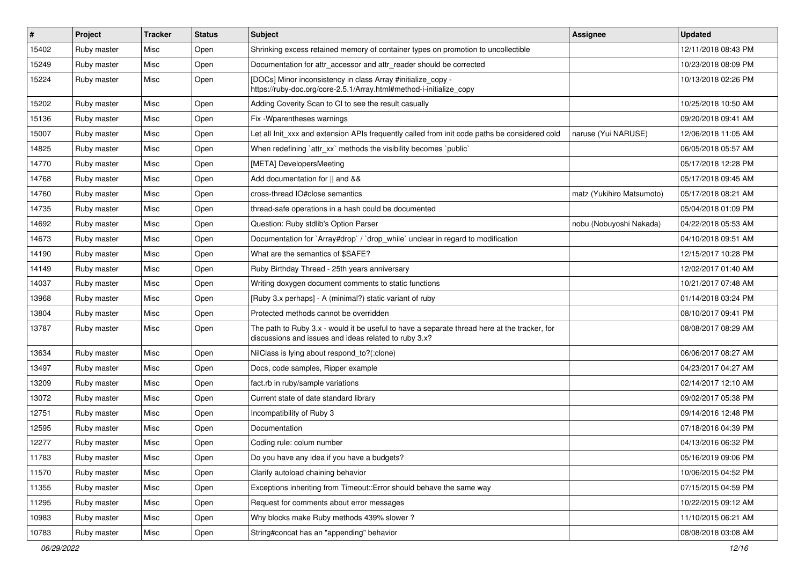| #     | Project     | <b>Tracker</b> | <b>Status</b> | Subject                                                                                                                                               | Assignee                  | <b>Updated</b>      |
|-------|-------------|----------------|---------------|-------------------------------------------------------------------------------------------------------------------------------------------------------|---------------------------|---------------------|
| 15402 | Ruby master | Misc           | Open          | Shrinking excess retained memory of container types on promotion to uncollectible                                                                     |                           | 12/11/2018 08:43 PM |
| 15249 | Ruby master | Misc           | Open          | Documentation for attr_accessor and attr_reader should be corrected                                                                                   |                           | 10/23/2018 08:09 PM |
| 15224 | Ruby master | Misc           | Open          | [DOCs] Minor inconsistency in class Array #initialize_copy -<br>https://ruby-doc.org/core-2.5.1/Array.html#method-i-initialize_copy                   |                           | 10/13/2018 02:26 PM |
| 15202 | Ruby master | Misc           | Open          | Adding Coverity Scan to CI to see the result casually                                                                                                 |                           | 10/25/2018 10:50 AM |
| 15136 | Ruby master | Misc           | Open          | Fix - Wparentheses warnings                                                                                                                           |                           | 09/20/2018 09:41 AM |
| 15007 | Ruby master | Misc           | Open          | Let all Init xxx and extension APIs frequently called from init code paths be considered cold                                                         | naruse (Yui NARUSE)       | 12/06/2018 11:05 AM |
| 14825 | Ruby master | Misc           | Open          | When redefining 'attr xx' methods the visibility becomes 'public'                                                                                     |                           | 06/05/2018 05:57 AM |
| 14770 | Ruby master | Misc           | Open          | [META] DevelopersMeeting                                                                                                                              |                           | 05/17/2018 12:28 PM |
| 14768 | Ruby master | Misc           | Open          | Add documentation for    and &&                                                                                                                       |                           | 05/17/2018 09:45 AM |
| 14760 | Ruby master | Misc           | Open          | cross-thread IO#close semantics                                                                                                                       | matz (Yukihiro Matsumoto) | 05/17/2018 08:21 AM |
| 14735 | Ruby master | Misc           | Open          | thread-safe operations in a hash could be documented                                                                                                  |                           | 05/04/2018 01:09 PM |
| 14692 | Ruby master | Misc           | Open          | Question: Ruby stdlib's Option Parser                                                                                                                 | nobu (Nobuyoshi Nakada)   | 04/22/2018 05:53 AM |
| 14673 | Ruby master | Misc           | Open          | Documentation for `Array#drop` / `drop_while` unclear in regard to modification                                                                       |                           | 04/10/2018 09:51 AM |
| 14190 | Ruby master | Misc           | Open          | What are the semantics of \$SAFE?                                                                                                                     |                           | 12/15/2017 10:28 PM |
| 14149 | Ruby master | Misc           | Open          | Ruby Birthday Thread - 25th years anniversary                                                                                                         |                           | 12/02/2017 01:40 AM |
| 14037 | Ruby master | Misc           | Open          | Writing doxygen document comments to static functions                                                                                                 |                           | 10/21/2017 07:48 AM |
| 13968 | Ruby master | Misc           | Open          | [Ruby 3.x perhaps] - A (minimal?) static variant of ruby                                                                                              |                           | 01/14/2018 03:24 PM |
| 13804 | Ruby master | Misc           | Open          | Protected methods cannot be overridden                                                                                                                |                           | 08/10/2017 09:41 PM |
| 13787 | Ruby master | Misc           | Open          | The path to Ruby 3.x - would it be useful to have a separate thread here at the tracker, for<br>discussions and issues and ideas related to ruby 3.x? |                           | 08/08/2017 08:29 AM |
| 13634 | Ruby master | Misc           | Open          | NilClass is lying about respond_to?(:clone)                                                                                                           |                           | 06/06/2017 08:27 AM |
| 13497 | Ruby master | Misc           | Open          | Docs, code samples, Ripper example                                                                                                                    |                           | 04/23/2017 04:27 AM |
| 13209 | Ruby master | Misc           | Open          | fact.rb in ruby/sample variations                                                                                                                     |                           | 02/14/2017 12:10 AM |
| 13072 | Ruby master | Misc           | Open          | Current state of date standard library                                                                                                                |                           | 09/02/2017 05:38 PM |
| 12751 | Ruby master | Misc           | Open          | Incompatibility of Ruby 3                                                                                                                             |                           | 09/14/2016 12:48 PM |
| 12595 | Ruby master | Misc           | Open          | Documentation                                                                                                                                         |                           | 07/18/2016 04:39 PM |
| 12277 | Ruby master | Misc           | Open          | Coding rule: colum number                                                                                                                             |                           | 04/13/2016 06:32 PM |
| 11783 | Ruby master | Misc           | Open          | Do you have any idea if you have a budgets?                                                                                                           |                           | 05/16/2019 09:06 PM |
| 11570 | Ruby master | Misc           | Open          | Clarify autoload chaining behavior                                                                                                                    |                           | 10/06/2015 04:52 PM |
| 11355 | Ruby master | Misc           | Open          | Exceptions inheriting from Timeout:: Error should behave the same way                                                                                 |                           | 07/15/2015 04:59 PM |
| 11295 | Ruby master | Misc           | Open          | Request for comments about error messages                                                                                                             |                           | 10/22/2015 09:12 AM |
| 10983 | Ruby master | Misc           | Open          | Why blocks make Ruby methods 439% slower?                                                                                                             |                           | 11/10/2015 06:21 AM |
| 10783 | Ruby master | Misc           | Open          | String#concat has an "appending" behavior                                                                                                             |                           | 08/08/2018 03:08 AM |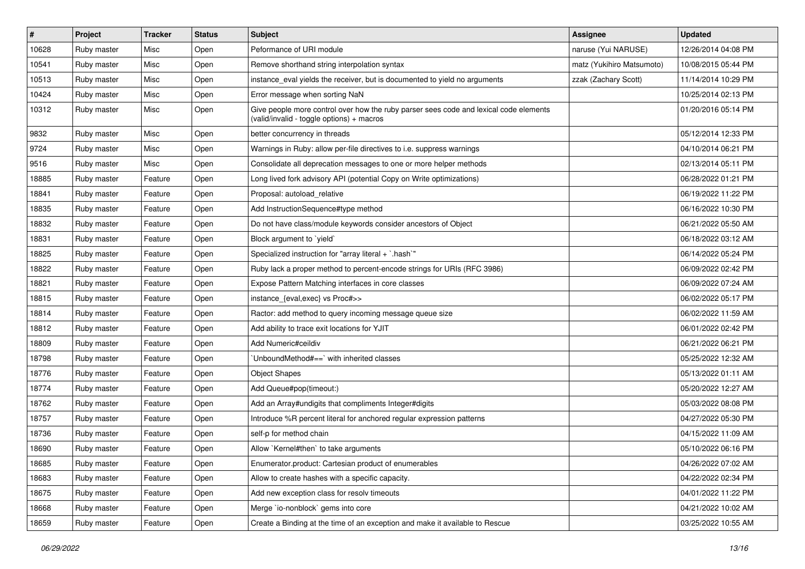| $\sharp$ | Project     | <b>Tracker</b> | <b>Status</b> | Subject                                                                                                                            | <b>Assignee</b>           | <b>Updated</b>      |
|----------|-------------|----------------|---------------|------------------------------------------------------------------------------------------------------------------------------------|---------------------------|---------------------|
| 10628    | Ruby master | Misc           | Open          | Peformance of URI module                                                                                                           | naruse (Yui NARUSE)       | 12/26/2014 04:08 PM |
| 10541    | Ruby master | Misc           | Open          | Remove shorthand string interpolation syntax                                                                                       | matz (Yukihiro Matsumoto) | 10/08/2015 05:44 PM |
| 10513    | Ruby master | Misc           | Open          | instance_eval yields the receiver, but is documented to yield no arguments                                                         | zzak (Zachary Scott)      | 11/14/2014 10:29 PM |
| 10424    | Ruby master | Misc           | Open          | Error message when sorting NaN                                                                                                     |                           | 10/25/2014 02:13 PM |
| 10312    | Ruby master | Misc           | Open          | Give people more control over how the ruby parser sees code and lexical code elements<br>(valid/invalid - toggle options) + macros |                           | 01/20/2016 05:14 PM |
| 9832     | Ruby master | Misc           | Open          | better concurrency in threads                                                                                                      |                           | 05/12/2014 12:33 PM |
| 9724     | Ruby master | Misc           | Open          | Warnings in Ruby: allow per-file directives to i.e. suppress warnings                                                              |                           | 04/10/2014 06:21 PM |
| 9516     | Ruby master | Misc           | Open          | Consolidate all deprecation messages to one or more helper methods                                                                 |                           | 02/13/2014 05:11 PM |
| 18885    | Ruby master | Feature        | Open          | Long lived fork advisory API (potential Copy on Write optimizations)                                                               |                           | 06/28/2022 01:21 PM |
| 18841    | Ruby master | Feature        | Open          | Proposal: autoload relative                                                                                                        |                           | 06/19/2022 11:22 PM |
| 18835    | Ruby master | Feature        | Open          | Add InstructionSequence#type method                                                                                                |                           | 06/16/2022 10:30 PM |
| 18832    | Ruby master | Feature        | Open          | Do not have class/module keywords consider ancestors of Object                                                                     |                           | 06/21/2022 05:50 AM |
| 18831    | Ruby master | Feature        | Open          | Block argument to `yield`                                                                                                          |                           | 06/18/2022 03:12 AM |
| 18825    | Ruby master | Feature        | Open          | Specialized instruction for "array literal + `.hash`"                                                                              |                           | 06/14/2022 05:24 PM |
| 18822    | Ruby master | Feature        | Open          | Ruby lack a proper method to percent-encode strings for URIs (RFC 3986)                                                            |                           | 06/09/2022 02:42 PM |
| 18821    | Ruby master | Feature        | Open          | Expose Pattern Matching interfaces in core classes                                                                                 |                           | 06/09/2022 07:24 AM |
| 18815    | Ruby master | Feature        | Open          | instance_{eval,exec} vs Proc#>>                                                                                                    |                           | 06/02/2022 05:17 PM |
| 18814    | Ruby master | Feature        | Open          | Ractor: add method to query incoming message queue size                                                                            |                           | 06/02/2022 11:59 AM |
| 18812    | Ruby master | Feature        | Open          | Add ability to trace exit locations for YJIT                                                                                       |                           | 06/01/2022 02:42 PM |
| 18809    | Ruby master | Feature        | Open          | Add Numeric#ceildiv                                                                                                                |                           | 06/21/2022 06:21 PM |
| 18798    | Ruby master | Feature        | Open          | 'UnboundMethod#==' with inherited classes                                                                                          |                           | 05/25/2022 12:32 AM |
| 18776    | Ruby master | Feature        | Open          | <b>Object Shapes</b>                                                                                                               |                           | 05/13/2022 01:11 AM |
| 18774    | Ruby master | Feature        | Open          | Add Queue#pop(timeout:)                                                                                                            |                           | 05/20/2022 12:27 AM |
| 18762    | Ruby master | Feature        | Open          | Add an Array#undigits that compliments Integer#digits                                                                              |                           | 05/03/2022 08:08 PM |
| 18757    | Ruby master | Feature        | Open          | Introduce %R percent literal for anchored regular expression patterns                                                              |                           | 04/27/2022 05:30 PM |
| 18736    | Ruby master | Feature        | Open          | self-p for method chain                                                                                                            |                           | 04/15/2022 11:09 AM |
| 18690    | Ruby master | Feature        | Open          | Allow `Kernel#then` to take arguments                                                                                              |                           | 05/10/2022 06:16 PM |
| 18685    | Ruby master | Feature        | Open          | Enumerator.product: Cartesian product of enumerables                                                                               |                           | 04/26/2022 07:02 AM |
| 18683    | Ruby master | Feature        | Open          | Allow to create hashes with a specific capacity.                                                                                   |                           | 04/22/2022 02:34 PM |
| 18675    | Ruby master | Feature        | Open          | Add new exception class for resolv timeouts                                                                                        |                           | 04/01/2022 11:22 PM |
| 18668    | Ruby master | Feature        | Open          | Merge `io-nonblock` gems into core                                                                                                 |                           | 04/21/2022 10:02 AM |
| 18659    | Ruby master | Feature        | Open          | Create a Binding at the time of an exception and make it available to Rescue                                                       |                           | 03/25/2022 10:55 AM |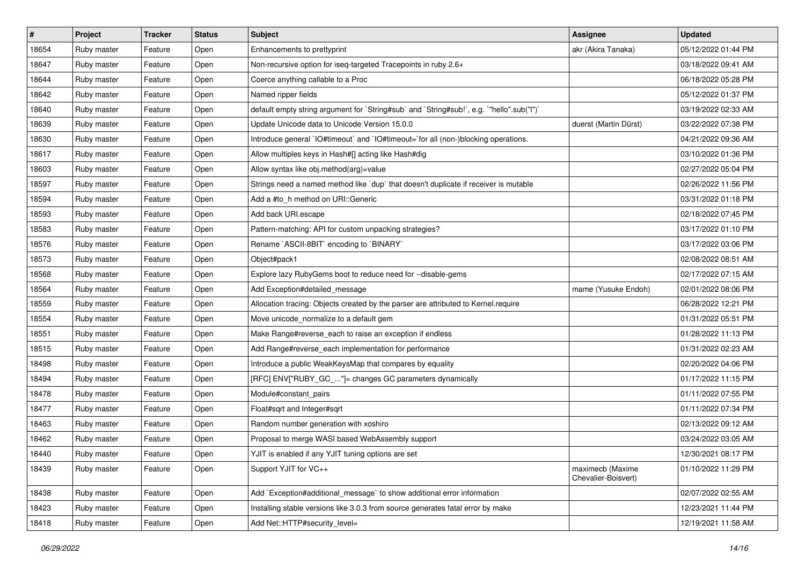| #     | Project     | <b>Tracker</b> | <b>Status</b> | <b>Subject</b>                                                                            | <b>Assignee</b>                         | <b>Updated</b>      |
|-------|-------------|----------------|---------------|-------------------------------------------------------------------------------------------|-----------------------------------------|---------------------|
| 18654 | Ruby master | Feature        | Open          | Enhancements to prettyprint                                                               | akr (Akira Tanaka)                      | 05/12/2022 01:44 PM |
| 18647 | Ruby master | Feature        | Open          | Non-recursive option for iseq-targeted Tracepoints in ruby 2.6+                           |                                         | 03/18/2022 09:41 AM |
| 18644 | Ruby master | Feature        | Open          | Coerce anything callable to a Proc                                                        |                                         | 06/18/2022 05:28 PM |
| 18642 | Ruby master | Feature        | Open          | Named ripper fields                                                                       |                                         | 05/12/2022 01:37 PM |
| 18640 | Ruby master | Feature        | Open          | default empty string argument for `String#sub` and `String#sub!`, e.g. `"hello".sub("I")` |                                         | 03/19/2022 02:33 AM |
| 18639 | Ruby master | Feature        | Open          | Update Unicode data to Unicode Version 15.0.0                                             | duerst (Martin Dürst)                   | 03/22/2022 07:38 PM |
| 18630 | Ruby master | Feature        | Open          | Introduce general `IO#timeout` and `IO#timeout=`for all (non-)blocking operations.        |                                         | 04/21/2022 09:36 AM |
| 18617 | Ruby master | Feature        | Open          | Allow multiples keys in Hash#[] acting like Hash#dig                                      |                                         | 03/10/2022 01:36 PM |
| 18603 | Ruby master | Feature        | Open          | Allow syntax like obj.method(arg)=value                                                   |                                         | 02/27/2022 05:04 PM |
| 18597 | Ruby master | Feature        | Open          | Strings need a named method like 'dup' that doesn't duplicate if receiver is mutable      |                                         | 02/26/2022 11:56 PM |
| 18594 | Ruby master | Feature        | Open          | Add a #to h method on URI::Generic                                                        |                                         | 03/31/2022 01:18 PM |
| 18593 | Ruby master | Feature        | Open          | Add back URI.escape                                                                       |                                         | 02/18/2022 07:45 PM |
| 18583 | Ruby master | Feature        | Open          | Pattern-matching: API for custom unpacking strategies?                                    |                                         | 03/17/2022 01:10 PM |
| 18576 | Ruby master | Feature        | Open          | Rename `ASCII-8BIT` encoding to `BINARY`                                                  |                                         | 03/17/2022 03:06 PM |
| 18573 | Ruby master | Feature        | Open          | Object#pack1                                                                              |                                         | 02/08/2022 08:51 AM |
| 18568 | Ruby master | Feature        | Open          | Explore lazy RubyGems boot to reduce need for --disable-gems                              |                                         | 02/17/2022 07:15 AM |
| 18564 | Ruby master | Feature        | Open          | Add Exception#detailed_message                                                            | mame (Yusuke Endoh)                     | 02/01/2022 08:06 PM |
| 18559 | Ruby master | Feature        | Open          | Allocation tracing: Objects created by the parser are attributed to Kernel.require        |                                         | 06/28/2022 12:21 PM |
| 18554 | Ruby master | Feature        | Open          | Move unicode_normalize to a default gem                                                   |                                         | 01/31/2022 05:51 PM |
| 18551 | Ruby master | Feature        | Open          | Make Range#reverse_each to raise an exception if endless                                  |                                         | 01/28/2022 11:13 PM |
| 18515 | Ruby master | Feature        | Open          | Add Range#reverse_each implementation for performance                                     |                                         | 01/31/2022 02:23 AM |
| 18498 | Ruby master | Feature        | Open          | Introduce a public WeakKeysMap that compares by equality                                  |                                         | 02/20/2022 04:06 PM |
| 18494 | Ruby master | Feature        | Open          | [RFC] ENV["RUBY_GC_"]= changes GC parameters dynamically                                  |                                         | 01/17/2022 11:15 PM |
| 18478 | Ruby master | Feature        | Open          | Module#constant_pairs                                                                     |                                         | 01/11/2022 07:55 PM |
| 18477 | Ruby master | Feature        | Open          | Float#sqrt and Integer#sqrt                                                               |                                         | 01/11/2022 07:34 PM |
| 18463 | Ruby master | Feature        | Open          | Random number generation with xoshiro                                                     |                                         | 02/13/2022 09:12 AM |
| 18462 | Ruby master | Feature        | Open          | Proposal to merge WASI based WebAssembly support                                          |                                         | 03/24/2022 03:05 AM |
| 18440 | Ruby master | Feature        | Open          | YJIT is enabled if any YJIT tuning options are set                                        |                                         | 12/30/2021 08:17 PM |
| 18439 | Ruby master | Feature        | Open          | Support YJIT for VC++                                                                     | maximecb (Maxime<br>Chevalier-Boisvert) | 01/10/2022 11:29 PM |
| 18438 | Ruby master | Feature        | Open          | Add `Exception#additional message` to show additional error information                   |                                         | 02/07/2022 02:55 AM |
| 18423 | Ruby master | Feature        | Open          | Installing stable versions like 3.0.3 from source generates fatal error by make           |                                         | 12/23/2021 11:44 PM |
| 18418 | Ruby master | Feature        | Open          | Add Net::HTTP#security_level=                                                             |                                         | 12/19/2021 11:58 AM |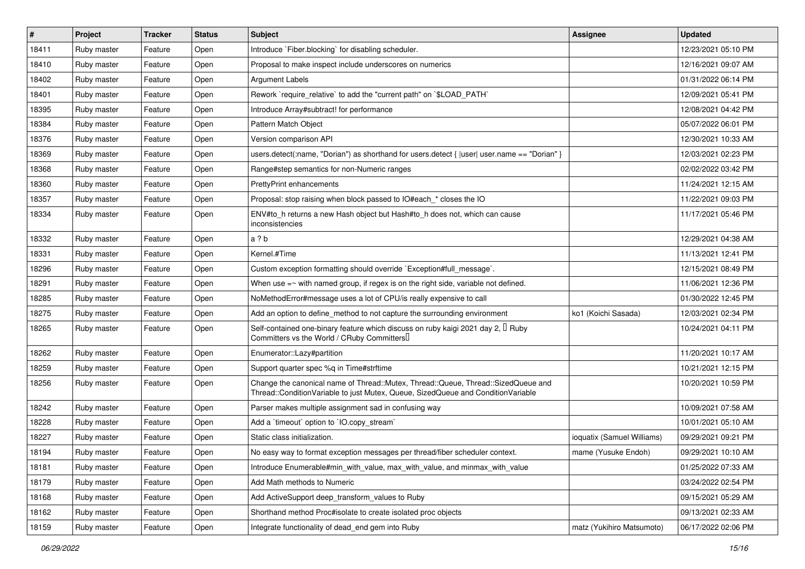| #     | Project     | <b>Tracker</b> | <b>Status</b> | Subject                                                                                                                                                               | <b>Assignee</b>            | <b>Updated</b>      |
|-------|-------------|----------------|---------------|-----------------------------------------------------------------------------------------------------------------------------------------------------------------------|----------------------------|---------------------|
| 18411 | Ruby master | Feature        | Open          | Introduce `Fiber.blocking` for disabling scheduler.                                                                                                                   |                            | 12/23/2021 05:10 PM |
| 18410 | Ruby master | Feature        | Open          | Proposal to make inspect include underscores on numerics                                                                                                              |                            | 12/16/2021 09:07 AM |
| 18402 | Ruby master | Feature        | Open          | Argument Labels                                                                                                                                                       |                            | 01/31/2022 06:14 PM |
| 18401 | Ruby master | Feature        | Open          | Rework `require relative` to add the "current path" on `\$LOAD PATH`                                                                                                  |                            | 12/09/2021 05:41 PM |
| 18395 | Ruby master | Feature        | Open          | Introduce Array#subtract! for performance                                                                                                                             |                            | 12/08/2021 04:42 PM |
| 18384 | Ruby master | Feature        | Open          | Pattern Match Object                                                                                                                                                  |                            | 05/07/2022 06:01 PM |
| 18376 | Ruby master | Feature        | Open          | Version comparison API                                                                                                                                                |                            | 12/30/2021 10:33 AM |
| 18369 | Ruby master | Feature        | Open          | users.detect(:name, "Dorian") as shorthand for users.detect { $ user $ user.name == "Dorian" }                                                                        |                            | 12/03/2021 02:23 PM |
| 18368 | Ruby master | Feature        | Open          | Range#step semantics for non-Numeric ranges                                                                                                                           |                            | 02/02/2022 03:42 PM |
| 18360 | Ruby master | Feature        | Open          | PrettyPrint enhancements                                                                                                                                              |                            | 11/24/2021 12:15 AM |
| 18357 | Ruby master | Feature        | Open          | Proposal: stop raising when block passed to IO#each * closes the IO                                                                                                   |                            | 11/22/2021 09:03 PM |
| 18334 | Ruby master | Feature        | Open          | ENV#to_h returns a new Hash object but Hash#to_h does not, which can cause<br>inconsistencies                                                                         |                            | 11/17/2021 05:46 PM |
| 18332 | Ruby master | Feature        | Open          | a ? b                                                                                                                                                                 |                            | 12/29/2021 04:38 AM |
| 18331 | Ruby master | Feature        | Open          | Kernel.#Time                                                                                                                                                          |                            | 11/13/2021 12:41 PM |
| 18296 | Ruby master | Feature        | Open          | Custom exception formatting should override `Exception#full_message`.                                                                                                 |                            | 12/15/2021 08:49 PM |
| 18291 | Ruby master | Feature        | Open          | When use $=$ with named group, if regex is on the right side, variable not defined.                                                                                   |                            | 11/06/2021 12:36 PM |
| 18285 | Ruby master | Feature        | Open          | NoMethodError#message uses a lot of CPU/is really expensive to call                                                                                                   |                            | 01/30/2022 12:45 PM |
| 18275 | Ruby master | Feature        | Open          | Add an option to define_method to not capture the surrounding environment                                                                                             | ko1 (Koichi Sasada)        | 12/03/2021 02:34 PM |
| 18265 | Ruby master | Feature        | Open          | Self-contained one-binary feature which discuss on ruby kaigi 2021 day 2, I Ruby<br>Committers vs the World / CRuby Committers                                        |                            | 10/24/2021 04:11 PM |
| 18262 | Ruby master | Feature        | Open          | Enumerator::Lazy#partition                                                                                                                                            |                            | 11/20/2021 10:17 AM |
| 18259 | Ruby master | Feature        | Open          | Support quarter spec %q in Time#strftime                                                                                                                              |                            | 10/21/2021 12:15 PM |
| 18256 | Ruby master | Feature        | Open          | Change the canonical name of Thread::Mutex, Thread::Queue, Thread::SizedQueue and<br>Thread::ConditionVariable to just Mutex, Queue, SizedQueue and ConditionVariable |                            | 10/20/2021 10:59 PM |
| 18242 | Ruby master | Feature        | Open          | Parser makes multiple assignment sad in confusing way                                                                                                                 |                            | 10/09/2021 07:58 AM |
| 18228 | Ruby master | Feature        | Open          | Add a 'timeout' option to 'IO.copy_stream'                                                                                                                            |                            | 10/01/2021 05:10 AM |
| 18227 | Ruby master | Feature        | Open          | Static class initialization.                                                                                                                                          | ioquatix (Samuel Williams) | 09/29/2021 09:21 PM |
| 18194 | Ruby master | Feature        | Open          | No easy way to format exception messages per thread/fiber scheduler context.                                                                                          | mame (Yusuke Endoh)        | 09/29/2021 10:10 AM |
| 18181 | Ruby master | Feature        | Open          | Introduce Enumerable#min with value, max with value, and minmax with value                                                                                            |                            | 01/25/2022 07:33 AM |
| 18179 | Ruby master | Feature        | Open          | Add Math methods to Numeric                                                                                                                                           |                            | 03/24/2022 02:54 PM |
| 18168 | Ruby master | Feature        | Open          | Add ActiveSupport deep_transform_values to Ruby                                                                                                                       |                            | 09/15/2021 05:29 AM |
| 18162 | Ruby master | Feature        | Open          | Shorthand method Proc#isolate to create isolated proc objects                                                                                                         |                            | 09/13/2021 02:33 AM |
| 18159 | Ruby master | Feature        | Open          | Integrate functionality of dead_end gem into Ruby                                                                                                                     | matz (Yukihiro Matsumoto)  | 06/17/2022 02:06 PM |